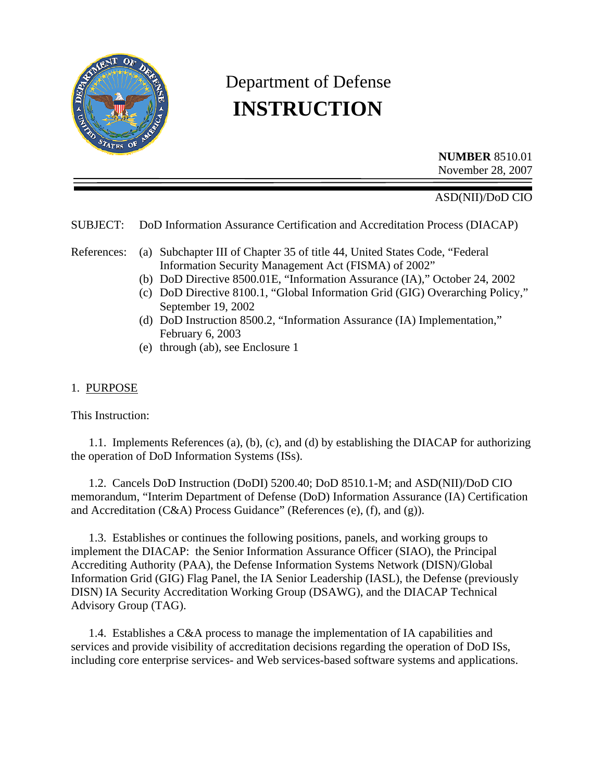

# Department of Defense  **INSTRUCTION**

**NUMBER** 8510.01 November 28, 2007

ASD(NII)/DoD CIO

SUBJECT: DoD Information Assurance Certification and Accreditation Process (DIACAP)

References: (a) Subchapter III of Chapter 35 of title 44, United States Code, "Federal Information Security Management Act (FISMA) of 2002"

- (b) DoD Directive 8500.01E, "Information Assurance (IA)," October 24, 2002
- (c) DoD Directive 8100.1, "Global Information Grid (GIG) Overarching Policy," September 19, 2002
- (d) DoD Instruction 8500.2, "Information Assurance (IA) Implementation," February 6, 2003
- (e) through (ab), see Enclosure 1

#### 1. PURPOSE

This Instruction:

 1.1. Implements References (a), (b), (c), and (d) by establishing the DIACAP for authorizing the operation of DoD Information Systems (ISs).

 1.2. Cancels DoD Instruction (DoDI) 5200.40; DoD 8510.1-M; and ASD(NII)/DoD CIO memorandum, "Interim Department of Defense (DoD) Information Assurance (IA) Certification and Accreditation (C&A) Process Guidance" (References (e), (f), and (g)).

 1.3. Establishes or continues the following positions, panels, and working groups to implement the DIACAP: the Senior Information Assurance Officer (SIAO), the Principal Accrediting Authority (PAA), the Defense Information Systems Network (DISN)/Global Information Grid (GIG) Flag Panel, the IA Senior Leadership (IASL), the Defense (previously DISN) IA Security Accreditation Working Group (DSAWG), and the DIACAP Technical Advisory Group (TAG).

 1.4. Establishes a C&A process to manage the implementation of IA capabilities and services and provide visibility of accreditation decisions regarding the operation of DoD ISs, including core enterprise services- and Web services-based software systems and applications.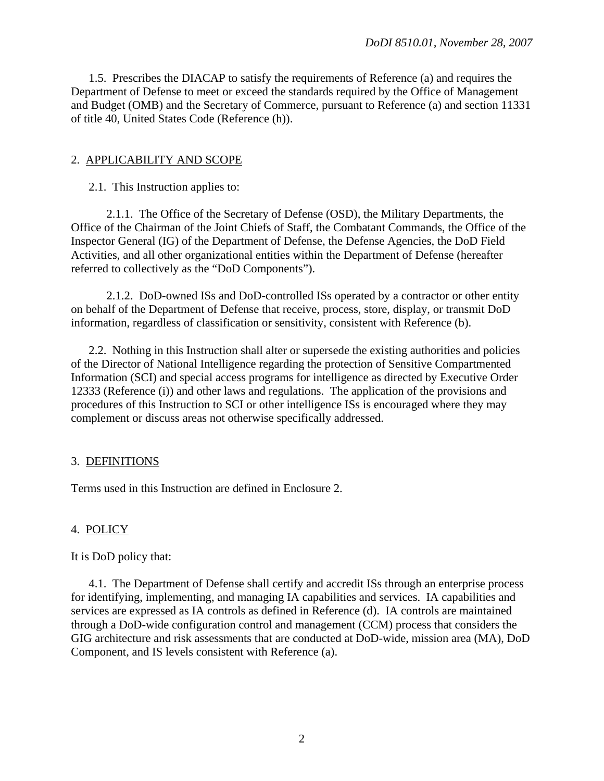1.5. Prescribes the DIACAP to satisfy the requirements of Reference (a) and requires the Department of Defense to meet or exceed the standards required by the Office of Management and Budget (OMB) and the Secretary of Commerce, pursuant to Reference (a) and section 11331 of title 40, United States Code (Reference (h)).

#### 2. APPLICABILITY AND SCOPE

2.1. This Instruction applies to:

 2.1.1. The Office of the Secretary of Defense (OSD), the Military Departments, the Office of the Chairman of the Joint Chiefs of Staff, the Combatant Commands, the Office of the Inspector General (IG) of the Department of Defense, the Defense Agencies, the DoD Field Activities, and all other organizational entities within the Department of Defense (hereafter referred to collectively as the "DoD Components").

 2.1.2. DoD-owned ISs and DoD-controlled ISs operated by a contractor or other entity on behalf of the Department of Defense that receive, process, store, display, or transmit DoD information, regardless of classification or sensitivity, consistent with Reference (b).

 2.2. Nothing in this Instruction shall alter or supersede the existing authorities and policies of the Director of National Intelligence regarding the protection of Sensitive Compartmented Information (SCI) and special access programs for intelligence as directed by Executive Order 12333 (Reference (i)) and other laws and regulations. The application of the provisions and procedures of this Instruction to SCI or other intelligence ISs is encouraged where they may complement or discuss areas not otherwise specifically addressed.

## 3. DEFINITIONS

Terms used in this Instruction are defined in Enclosure 2.

## 4. POLICY

It is DoD policy that:

 4.1. The Department of Defense shall certify and accredit ISs through an enterprise process for identifying, implementing, and managing IA capabilities and services. IA capabilities and services are expressed as IA controls as defined in Reference (d). IA controls are maintained through a DoD-wide configuration control and management (CCM) process that considers the GIG architecture and risk assessments that are conducted at DoD-wide, mission area (MA), DoD Component, and IS levels consistent with Reference (a).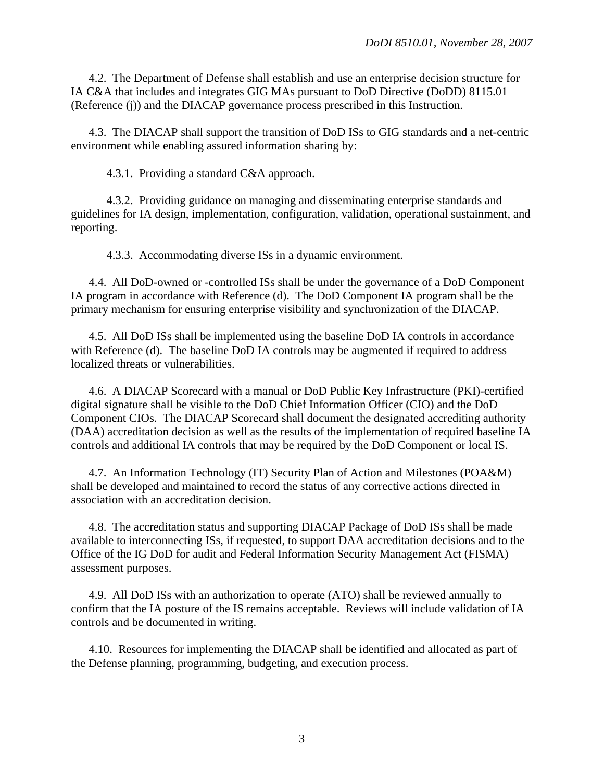4.2. The Department of Defense shall establish and use an enterprise decision structure for IA C&A that includes and integrates GIG MAs pursuant to DoD Directive (DoDD) 8115.01 (Reference (j)) and the DIACAP governance process prescribed in this Instruction.

 4.3. The DIACAP shall support the transition of DoD ISs to GIG standards and a net-centric environment while enabling assured information sharing by:

4.3.1. Providing a standard C&A approach.

 4.3.2. Providing guidance on managing and disseminating enterprise standards and guidelines for IA design, implementation, configuration, validation, operational sustainment, and reporting.

4.3.3. Accommodating diverse ISs in a dynamic environment.

 4.4. All DoD-owned or -controlled ISs shall be under the governance of a DoD Component IA program in accordance with Reference (d). The DoD Component IA program shall be the primary mechanism for ensuring enterprise visibility and synchronization of the DIACAP.

 4.5. All DoD ISs shall be implemented using the baseline DoD IA controls in accordance with Reference (d). The baseline DoD IA controls may be augmented if required to address localized threats or vulnerabilities.

 4.6. A DIACAP Scorecard with a manual or DoD Public Key Infrastructure (PKI)-certified digital signature shall be visible to the DoD Chief Information Officer (CIO) and the DoD Component CIOs. The DIACAP Scorecard shall document the designated accrediting authority (DAA) accreditation decision as well as the results of the implementation of required baseline IA controls and additional IA controls that may be required by the DoD Component or local IS.

 4.7. An Information Technology (IT) Security Plan of Action and Milestones (POA&M) shall be developed and maintained to record the status of any corrective actions directed in association with an accreditation decision.

 4.8. The accreditation status and supporting DIACAP Package of DoD ISs shall be made available to interconnecting ISs, if requested, to support DAA accreditation decisions and to the Office of the IG DoD for audit and Federal Information Security Management Act (FISMA) assessment purposes.

 4.9. All DoD ISs with an authorization to operate (ATO) shall be reviewed annually to confirm that the IA posture of the IS remains acceptable. Reviews will include validation of IA controls and be documented in writing.

 4.10. Resources for implementing the DIACAP shall be identified and allocated as part of the Defense planning, programming, budgeting, and execution process.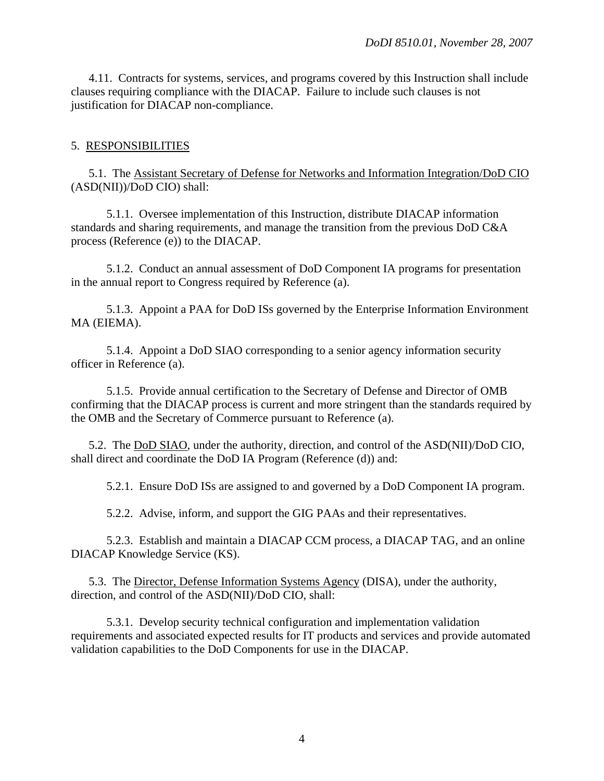4.11. Contracts for systems, services, and programs covered by this Instruction shall include clauses requiring compliance with the DIACAP. Failure to include such clauses is not justification for DIACAP non-compliance.

#### 5. RESPONSIBILITIES

 5.1. The Assistant Secretary of Defense for Networks and Information Integration/DoD CIO (ASD(NII))/DoD CIO) shall:

 5.1.1. Oversee implementation of this Instruction, distribute DIACAP information standards and sharing requirements, and manage the transition from the previous DoD C&A process (Reference (e)) to the DIACAP.

 5.1.2. Conduct an annual assessment of DoD Component IA programs for presentation in the annual report to Congress required by Reference (a).

 5.1.3. Appoint a PAA for DoD ISs governed by the Enterprise Information Environment MA (EIEMA).

 5.1.4. Appoint a DoD SIAO corresponding to a senior agency information security officer in Reference (a).

 5.1.5. Provide annual certification to the Secretary of Defense and Director of OMB confirming that the DIACAP process is current and more stringent than the standards required by the OMB and the Secretary of Commerce pursuant to Reference (a).

 5.2. The DoD SIAO, under the authority, direction, and control of the ASD(NII)/DoD CIO, shall direct and coordinate the DoD IA Program (Reference (d)) and:

5.2.1. Ensure DoD ISs are assigned to and governed by a DoD Component IA program.

5.2.2. Advise, inform, and support the GIG PAAs and their representatives.

 5.2.3. Establish and maintain a DIACAP CCM process, a DIACAP TAG, and an online DIACAP Knowledge Service (KS).

 5.3. The Director, Defense Information Systems Agency (DISA), under the authority, direction, and control of the ASD(NII)/DoD CIO, shall:

 5.3.1. Develop security technical configuration and implementation validation requirements and associated expected results for IT products and services and provide automated validation capabilities to the DoD Components for use in the DIACAP.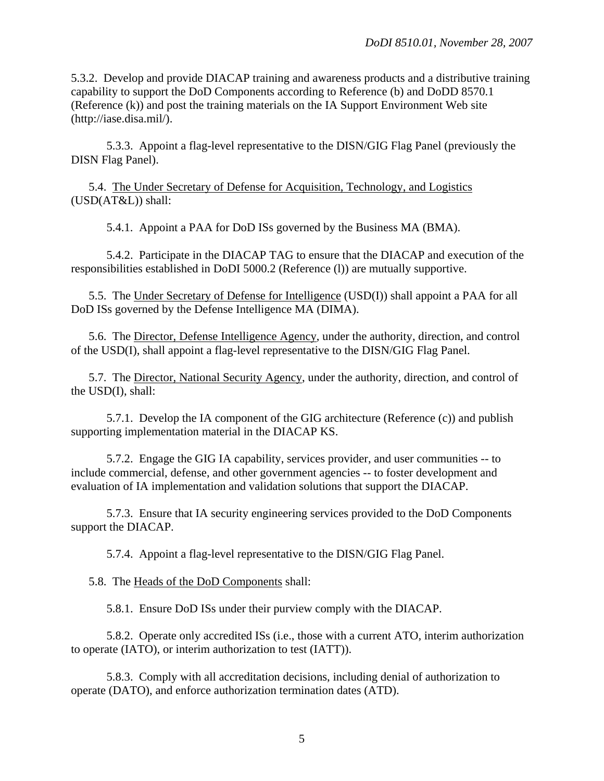5.3.2. Develop and provide DIACAP training and awareness products and a distributive training capability to support the DoD Components according to Reference (b) and DoDD 8570.1 (Reference (k)) and post the training materials on the IA Support Environment Web site (http://iase.disa.mil/).

 5.3.3. Appoint a flag-level representative to the DISN/GIG Flag Panel (previously the DISN Flag Panel).

 5.4. The Under Secretary of Defense for Acquisition, Technology, and Logistics (USD(AT&L)) shall:

5.4.1. Appoint a PAA for DoD ISs governed by the Business MA (BMA).

 5.4.2. Participate in the DIACAP TAG to ensure that the DIACAP and execution of the responsibilities established in DoDI 5000.2 (Reference (l)) are mutually supportive.

 5.5. The Under Secretary of Defense for Intelligence (USD(I)) shall appoint a PAA for all DoD ISs governed by the Defense Intelligence MA (DIMA).

 5.6. The Director, Defense Intelligence Agency, under the authority, direction, and control of the USD(I), shall appoint a flag-level representative to the DISN/GIG Flag Panel.

5.7. The Director, National Security Agency, under the authority, direction, and control of the USD(I), shall:

 5.7.1. Develop the IA component of the GIG architecture (Reference (c)) and publish supporting implementation material in the DIACAP KS.

 5.7.2. Engage the GIG IA capability, services provider, and user communities -- to include commercial, defense, and other government agencies -- to foster development and evaluation of IA implementation and validation solutions that support the DIACAP.

 5.7.3. Ensure that IA security engineering services provided to the DoD Components support the DIACAP.

5.7.4. Appoint a flag-level representative to the DISN/GIG Flag Panel.

5.8. The Heads of the DoD Components shall:

5.8.1. Ensure DoD ISs under their purview comply with the DIACAP.

 5.8.2. Operate only accredited ISs (i.e., those with a current ATO, interim authorization to operate (IATO), or interim authorization to test (IATT)).

 5.8.3. Comply with all accreditation decisions, including denial of authorization to operate (DATO), and enforce authorization termination dates (ATD).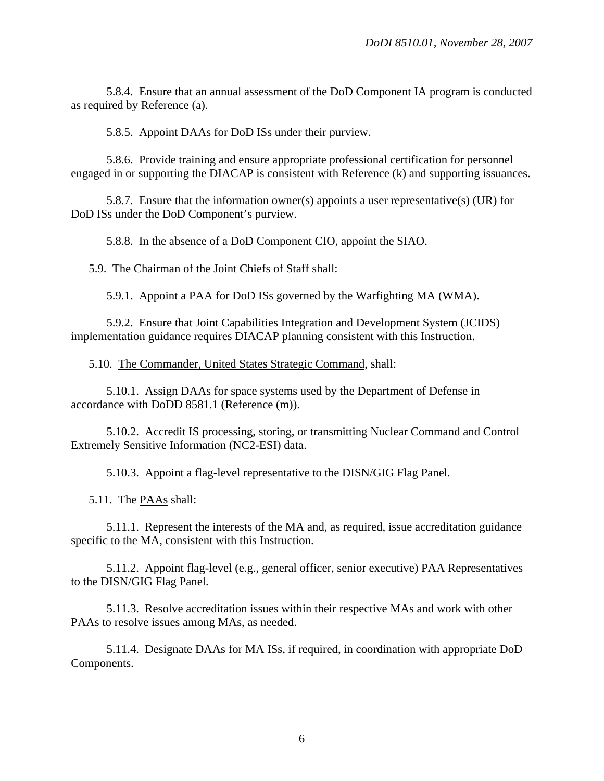5.8.4. Ensure that an annual assessment of the DoD Component IA program is conducted as required by Reference (a).

5.8.5. Appoint DAAs for DoD ISs under their purview.

 5.8.6. Provide training and ensure appropriate professional certification for personnel engaged in or supporting the DIACAP is consistent with Reference (k) and supporting issuances.

 5.8.7. Ensure that the information owner(s) appoints a user representative(s) (UR) for DoD ISs under the DoD Component's purview.

5.8.8. In the absence of a DoD Component CIO, appoint the SIAO.

5.9. The Chairman of the Joint Chiefs of Staff shall:

5.9.1. Appoint a PAA for DoD ISs governed by the Warfighting MA (WMA).

 5.9.2. Ensure that Joint Capabilities Integration and Development System (JCIDS) implementation guidance requires DIACAP planning consistent with this Instruction.

5.10. The Commander, United States Strategic Command, shall:

 5.10.1. Assign DAAs for space systems used by the Department of Defense in accordance with DoDD 8581.1 (Reference (m)).

 5.10.2. Accredit IS processing, storing, or transmitting Nuclear Command and Control Extremely Sensitive Information (NC2-ESI) data.

5.10.3. Appoint a flag-level representative to the DISN/GIG Flag Panel.

5.11. The PAAs shall:

 5.11.1. Represent the interests of the MA and, as required, issue accreditation guidance specific to the MA, consistent with this Instruction.

 5.11.2. Appoint flag-level (e.g., general officer, senior executive) PAA Representatives to the DISN/GIG Flag Panel.

 5.11.3. Resolve accreditation issues within their respective MAs and work with other PAAs to resolve issues among MAs, as needed.

 5.11.4. Designate DAAs for MA ISs, if required, in coordination with appropriate DoD Components.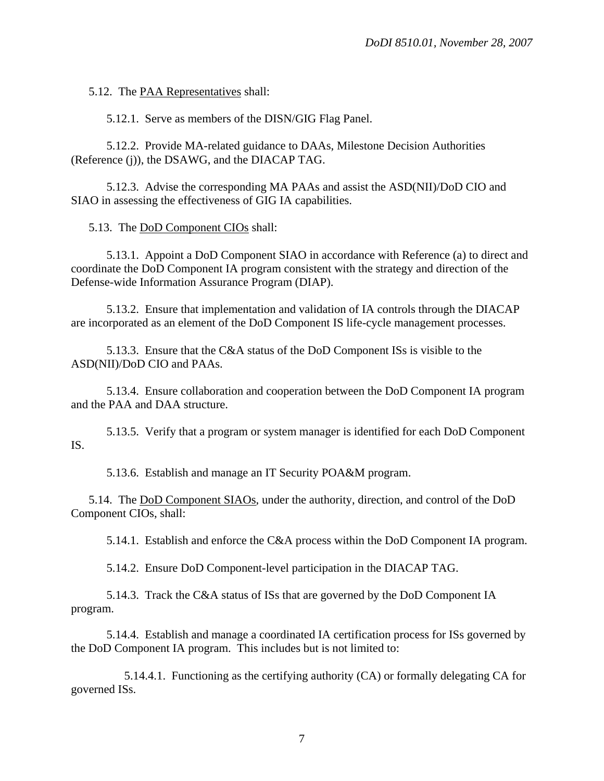5.12. The PAA Representatives shall:

5.12.1. Serve as members of the DISN/GIG Flag Panel.

 5.12.2. Provide MA-related guidance to DAAs, Milestone Decision Authorities (Reference (j)), the DSAWG, and the DIACAP TAG.

 5.12.3. Advise the corresponding MA PAAs and assist the ASD(NII)/DoD CIO and SIAO in assessing the effectiveness of GIG IA capabilities.

5.13. The DoD Component CIOs shall:

 5.13.1. Appoint a DoD Component SIAO in accordance with Reference (a) to direct and coordinate the DoD Component IA program consistent with the strategy and direction of the Defense-wide Information Assurance Program (DIAP).

 5.13.2. Ensure that implementation and validation of IA controls through the DIACAP are incorporated as an element of the DoD Component IS life-cycle management processes.

 5.13.3. Ensure that the C&A status of the DoD Component ISs is visible to the ASD(NII)/DoD CIO and PAAs.

 5.13.4. Ensure collaboration and cooperation between the DoD Component IA program and the PAA and DAA structure.

 5.13.5. Verify that a program or system manager is identified for each DoD Component IS.

5.13.6. Establish and manage an IT Security POA&M program.

 5.14. The DoD Component SIAOs, under the authority, direction, and control of the DoD Component CIOs, shall:

5.14.1. Establish and enforce the C&A process within the DoD Component IA program.

5.14.2. Ensure DoD Component-level participation in the DIACAP TAG.

 5.14.3. Track the C&A status of ISs that are governed by the DoD Component IA program.

 5.14.4. Establish and manage a coordinated IA certification process for ISs governed by the DoD Component IA program. This includes but is not limited to:

 5.14.4.1. Functioning as the certifying authority (CA) or formally delegating CA for governed ISs.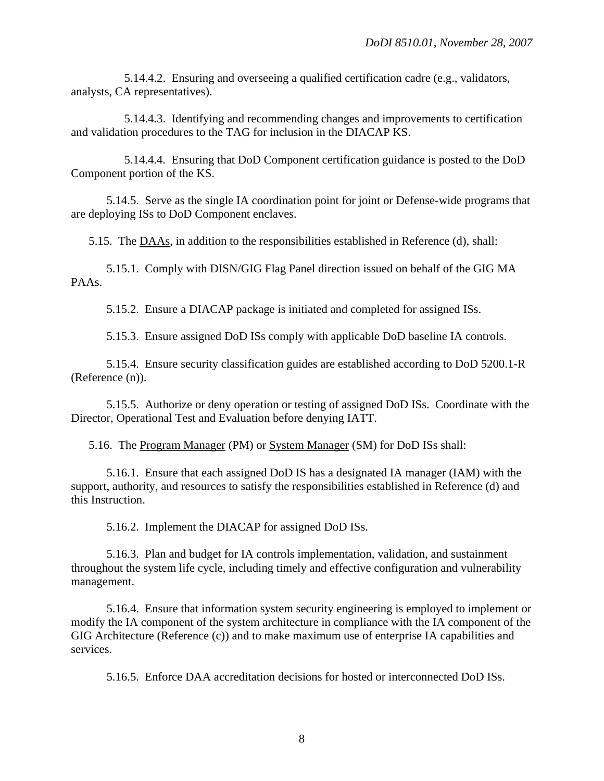5.14.4.2. Ensuring and overseeing a qualified certification cadre (e.g., validators, analysts, CA representatives).

 5.14.4.3. Identifying and recommending changes and improvements to certification and validation procedures to the TAG for inclusion in the DIACAP KS.

 5.14.4.4. Ensuring that DoD Component certification guidance is posted to the DoD Component portion of the KS.

 5.14.5. Serve as the single IA coordination point for joint or Defense-wide programs that are deploying ISs to DoD Component enclaves.

5.15. The DAAs, in addition to the responsibilities established in Reference (d), shall:

 5.15.1. Comply with DISN/GIG Flag Panel direction issued on behalf of the GIG MA PAAs.

5.15.2. Ensure a DIACAP package is initiated and completed for assigned ISs.

5.15.3. Ensure assigned DoD ISs comply with applicable DoD baseline IA controls.

 5.15.4. Ensure security classification guides are established according to DoD 5200.1-R (Reference (n)).

 5.15.5. Authorize or deny operation or testing of assigned DoD ISs. Coordinate with the Director, Operational Test and Evaluation before denying IATT.

5.16. The Program Manager (PM) or System Manager (SM) for DoD ISs shall:

 5.16.1. Ensure that each assigned DoD IS has a designated IA manager (IAM) with the support, authority, and resources to satisfy the responsibilities established in Reference (d) and this Instruction.

5.16.2. Implement the DIACAP for assigned DoD ISs.

 5.16.3. Plan and budget for IA controls implementation, validation, and sustainment throughout the system life cycle, including timely and effective configuration and vulnerability management.

 5.16.4. Ensure that information system security engineering is employed to implement or modify the IA component of the system architecture in compliance with the IA component of the GIG Architecture (Reference (c)) and to make maximum use of enterprise IA capabilities and services.

5.16.5. Enforce DAA accreditation decisions for hosted or interconnected DoD ISs.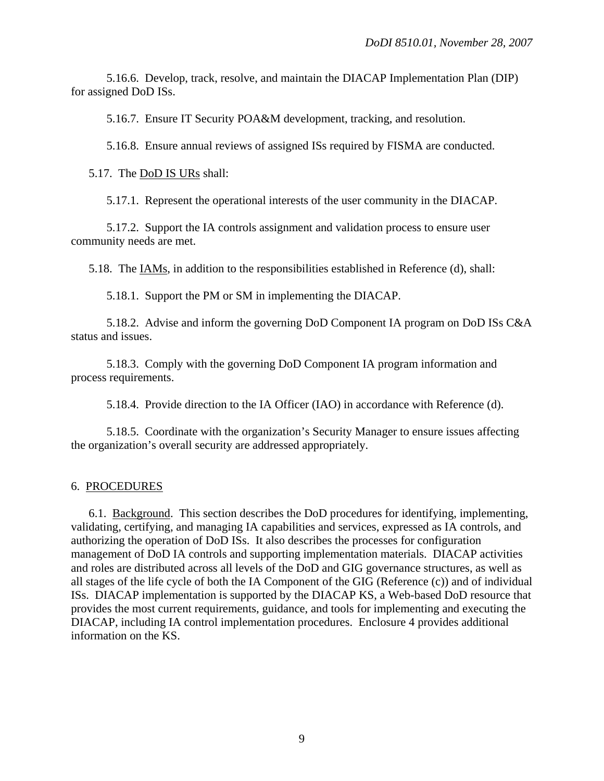5.16.6. Develop, track, resolve, and maintain the DIACAP Implementation Plan (DIP) for assigned DoD ISs.

5.16.7. Ensure IT Security POA&M development, tracking, and resolution.

5.16.8. Ensure annual reviews of assigned ISs required by FISMA are conducted.

5.17. The DoD IS URs shall:

5.17.1. Represent the operational interests of the user community in the DIACAP.

 5.17.2. Support the IA controls assignment and validation process to ensure user community needs are met.

5.18. The IAMs, in addition to the responsibilities established in Reference (d), shall:

5.18.1. Support the PM or SM in implementing the DIACAP.

 5.18.2. Advise and inform the governing DoD Component IA program on DoD ISs C&A status and issues.

 5.18.3. Comply with the governing DoD Component IA program information and process requirements.

5.18.4. Provide direction to the IA Officer (IAO) in accordance with Reference (d).

 5.18.5. Coordinate with the organization's Security Manager to ensure issues affecting the organization's overall security are addressed appropriately.

#### 6. PROCEDURES

 6.1. Background.This section describes the DoD procedures for identifying, implementing, validating, certifying, and managing IA capabilities and services, expressed as IA controls, and authorizing the operation of DoD ISs. It also describes the processes for configuration management of DoD IA controls and supporting implementation materials. DIACAP activities and roles are distributed across all levels of the DoD and GIG governance structures, as well as all stages of the life cycle of both the IA Component of the GIG (Reference (c)) and of individual ISs. DIACAP implementation is supported by the DIACAP KS, a Web-based DoD resource that provides the most current requirements, guidance, and tools for implementing and executing the DIACAP, including IA control implementation procedures. Enclosure 4 provides additional information on the KS.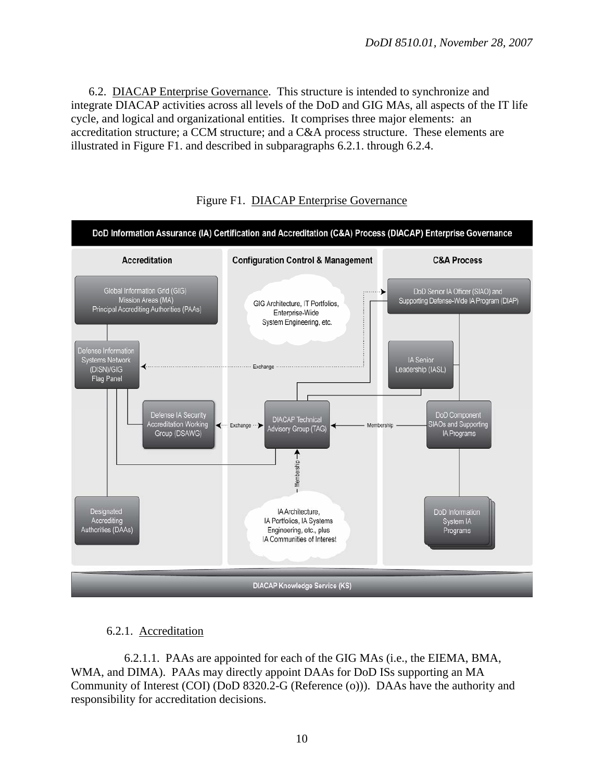6.2. DIACAP Enterprise Governance. This structure is intended to synchronize and integrate DIACAP activities across all levels of the DoD and GIG MAs, all aspects of the IT life cycle, and logical and organizational entities. It comprises three major elements: an accreditation structure; a CCM structure; and a C&A process structure. These elements are illustrated in Figure F1. and described in subparagraphs 6.2.1. through 6.2.4.





## 6.2.1. Accreditation

 6.2.1.1. PAAs are appointed for each of the GIG MAs (i.e., the EIEMA, BMA, WMA, and DIMA). PAAs may directly appoint DAAs for DoD ISs supporting an MA Community of Interest (COI) (DoD 8320.2-G (Reference (o))). DAAs have the authority and responsibility for accreditation decisions.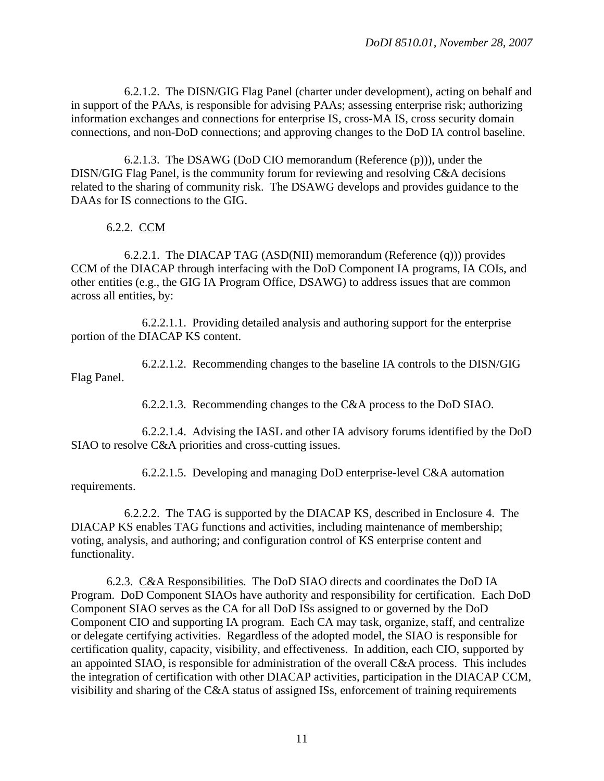6.2.1.2. The DISN/GIG Flag Panel (charter under development), acting on behalf and in support of the PAAs, is responsible for advising PAAs; assessing enterprise risk; authorizing information exchanges and connections for enterprise IS, cross-MA IS, cross security domain connections, and non-DoD connections; and approving changes to the DoD IA control baseline.

 6.2.1.3. The DSAWG (DoD CIO memorandum (Reference (p))), under the DISN/GIG Flag Panel, is the community forum for reviewing and resolving C&A decisions related to the sharing of community risk. The DSAWG develops and provides guidance to the DAAs for IS connections to the GIG.

6.2.2. CCM

 6.2.2.1. The DIACAP TAG (ASD(NII) memorandum (Reference (q))) provides CCM of the DIACAP through interfacing with the DoD Component IA programs, IA COIs, and other entities (e.g., the GIG IA Program Office, DSAWG) to address issues that are common across all entities, by:

 6.2.2.1.1. Providing detailed analysis and authoring support for the enterprise portion of the DIACAP KS content.

 6.2.2.1.2. Recommending changes to the baseline IA controls to the DISN/GIG Flag Panel.

6.2.2.1.3. Recommending changes to the C&A process to the DoD SIAO.

 6.2.2.1.4. Advising the IASL and other IA advisory forums identified by the DoD SIAO to resolve C&A priorities and cross-cutting issues.

 6.2.2.1.5. Developing and managing DoD enterprise-level C&A automation requirements.

 6.2.2.2. The TAG is supported by the DIACAP KS, described in Enclosure 4. The DIACAP KS enables TAG functions and activities, including maintenance of membership; voting, analysis, and authoring; and configuration control of KS enterprise content and functionality.

 6.2.3. C&A Responsibilities. The DoD SIAO directs and coordinates the DoD IA Program. DoD Component SIAOs have authority and responsibility for certification. Each DoD Component SIAO serves as the CA for all DoD ISs assigned to or governed by the DoD Component CIO and supporting IA program. Each CA may task, organize, staff, and centralize or delegate certifying activities. Regardless of the adopted model, the SIAO is responsible for certification quality, capacity, visibility, and effectiveness. In addition, each CIO, supported by an appointed SIAO, is responsible for administration of the overall C&A process. This includes the integration of certification with other DIACAP activities, participation in the DIACAP CCM, visibility and sharing of the C&A status of assigned ISs, enforcement of training requirements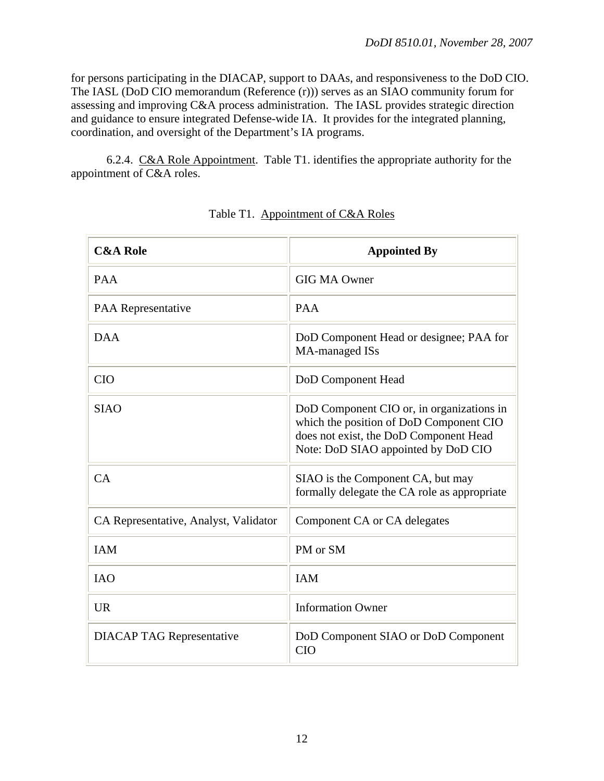for persons participating in the DIACAP, support to DAAs, and responsiveness to the DoD CIO. The IASL (DoD CIO memorandum (Reference (r))) serves as an SIAO community forum for assessing and improving C&A process administration. The IASL provides strategic direction and guidance to ensure integrated Defense-wide IA. It provides for the integrated planning, coordination, and oversight of the Department's IA programs.

 6.2.4. C&A Role Appointment. Table T1. identifies the appropriate authority for the appointment of C&A roles.

| <b>C&amp;A Role</b>                   | <b>Appointed By</b>                                                                                                                                                   |
|---------------------------------------|-----------------------------------------------------------------------------------------------------------------------------------------------------------------------|
| <b>PAA</b>                            | <b>GIG MA Owner</b>                                                                                                                                                   |
| <b>PAA</b> Representative             | <b>PAA</b>                                                                                                                                                            |
| <b>DAA</b>                            | DoD Component Head or designee; PAA for<br>MA-managed ISs                                                                                                             |
| <b>CIO</b>                            | DoD Component Head                                                                                                                                                    |
| <b>SIAO</b>                           | DoD Component CIO or, in organizations in<br>which the position of DoD Component CIO<br>does not exist, the DoD Component Head<br>Note: DoD SIAO appointed by DoD CIO |
| CA                                    | SIAO is the Component CA, but may<br>formally delegate the CA role as appropriate                                                                                     |
| CA Representative, Analyst, Validator | Component CA or CA delegates                                                                                                                                          |
| <b>IAM</b>                            | PM or SM                                                                                                                                                              |
| <b>IAO</b>                            | <b>IAM</b>                                                                                                                                                            |
| <b>UR</b>                             | <b>Information Owner</b>                                                                                                                                              |
| <b>DIACAP TAG Representative</b>      | DoD Component SIAO or DoD Component<br><b>CIO</b>                                                                                                                     |

| Table T1. Appointment of C&A Roles |
|------------------------------------|
|------------------------------------|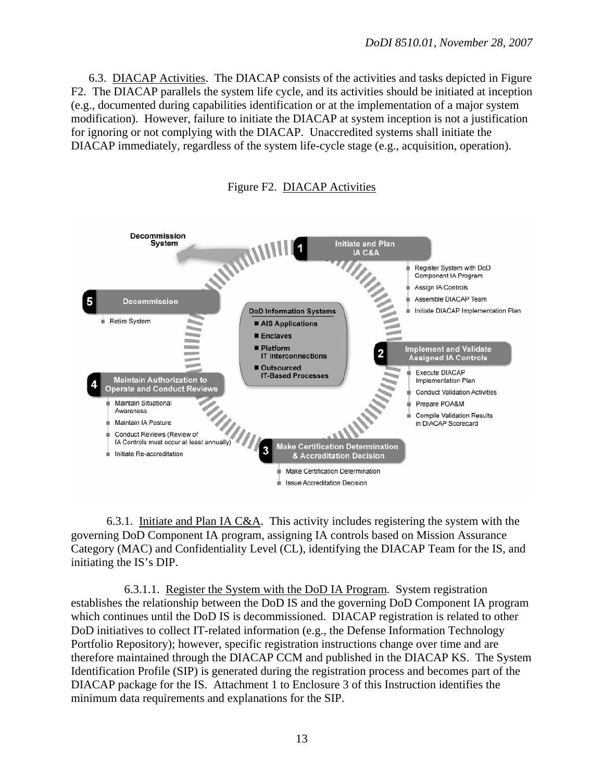6.3. DIACAP Activities. The DIACAP consists of the activities and tasks depicted in Figure F2. The DIACAP parallels the system life cycle, and its activities should be initiated at inception (e.g., documented during capabilities identification or at the implementation of a major system modification). However, failure to initiate the DIACAP at system inception is not a justification for ignoring or not complying with the DIACAP. Unaccredited systems shall initiate the DIACAP immediately, regardless of the system life-cycle stage (e.g., acquisition, operation).



Figure F2. DIACAP Activities

 6.3.1. Initiate and Plan IA C&A. This activity includes registering the system with the governing DoD Component IA program, assigning IA controls based on Mission Assurance Category (MAC) and Confidentiality Level (CL), identifying the DIACAP Team for the IS, and initiating the IS's DIP.

 6.3.1.1. Register the System with the DoD IA Program. System registration establishes the relationship between the DoD IS and the governing DoD Component IA program which continues until the DoD IS is decommissioned. DIACAP registration is related to other DoD initiatives to collect IT-related information (e.g., the Defense Information Technology Portfolio Repository); however, specific registration instructions change over time and are therefore maintained through the DIACAP CCM and published in the DIACAP KS. The System Identification Profile (SIP) is generated during the registration process and becomes part of the DIACAP package for the IS. Attachment 1 to Enclosure 3 of this Instruction identifies the minimum data requirements and explanations for the SIP.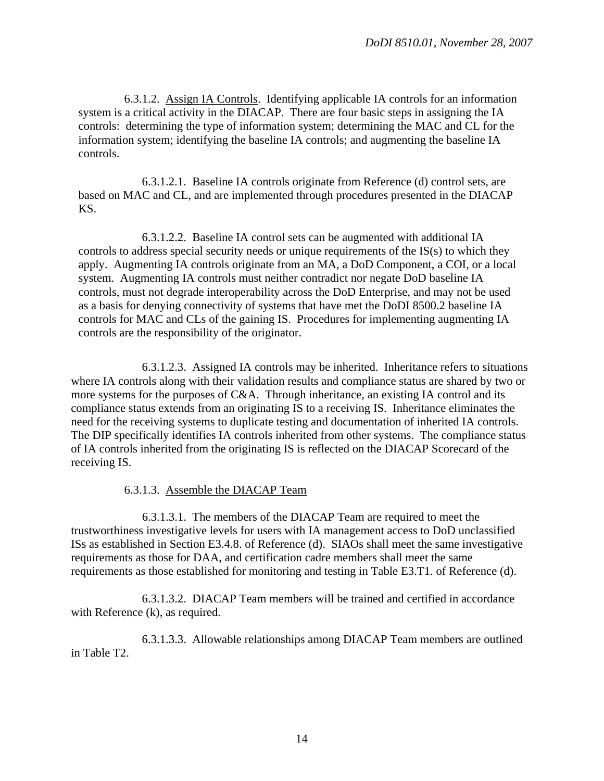6.3.1.2. Assign IA Controls. Identifying applicable IA controls for an information system is a critical activity in the DIACAP. There are four basic steps in assigning the IA controls: determining the type of information system; determining the MAC and CL for the information system; identifying the baseline IA controls; and augmenting the baseline IA controls.

 6.3.1.2.1. Baseline IA controls originate from Reference (d) control sets, are based on MAC and CL, and are implemented through procedures presented in the DIACAP KS.

 6.3.1.2.2. Baseline IA control sets can be augmented with additional IA controls to address special security needs or unique requirements of the IS(s) to which they apply. Augmenting IA controls originate from an MA, a DoD Component, a COI, or a local system. Augmenting IA controls must neither contradict nor negate DoD baseline IA controls, must not degrade interoperability across the DoD Enterprise, and may not be used as a basis for denying connectivity of systems that have met the DoDI 8500.2 baseline IA controls for MAC and CLs of the gaining IS. Procedures for implementing augmenting IA controls are the responsibility of the originator.

 6.3.1.2.3. Assigned IA controls may be inherited. Inheritance refers to situations where IA controls along with their validation results and compliance status are shared by two or more systems for the purposes of C&A. Through inheritance, an existing IA control and its compliance status extends from an originating IS to a receiving IS. Inheritance eliminates the need for the receiving systems to duplicate testing and documentation of inherited IA controls. The DIP specifically identifies IA controls inherited from other systems. The compliance status of IA controls inherited from the originating IS is reflected on the DIACAP Scorecard of the receiving IS.

#### 6.3.1.3. Assemble the DIACAP Team

 6.3.1.3.1. The members of the DIACAP Team are required to meet the trustworthiness investigative levels for users with IA management access to DoD unclassified ISs as established in Section E3.4.8. of Reference (d). SIAOs shall meet the same investigative requirements as those for DAA, and certification cadre members shall meet the same requirements as those established for monitoring and testing in Table E3.T1. of Reference (d).

 6.3.1.3.2. DIACAP Team members will be trained and certified in accordance with Reference (k), as required.

 6.3.1.3.3. Allowable relationships among DIACAP Team members are outlined in Table T2.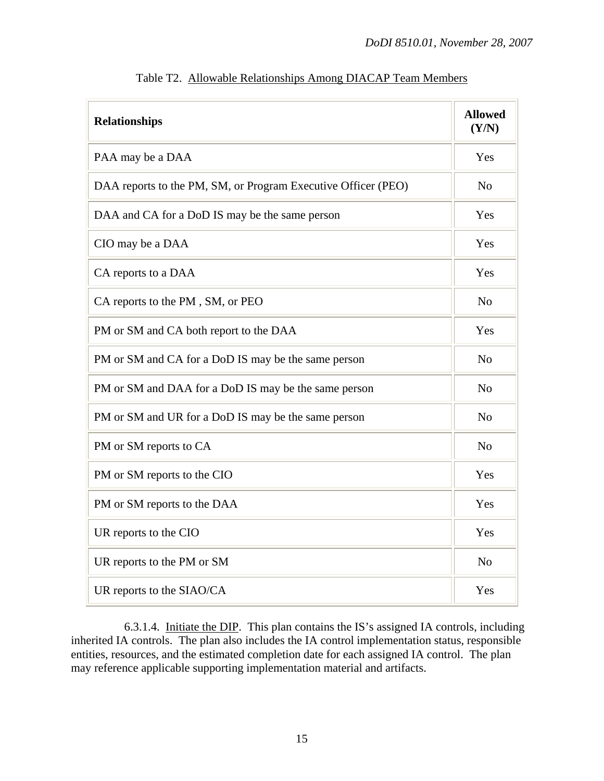| <b>Relationships</b>                                          | <b>Allowed</b><br>(Y/N) |
|---------------------------------------------------------------|-------------------------|
| PAA may be a DAA                                              | Yes                     |
| DAA reports to the PM, SM, or Program Executive Officer (PEO) | No                      |
| DAA and CA for a DoD IS may be the same person                | Yes                     |
| CIO may be a DAA                                              | Yes                     |
| CA reports to a DAA                                           | Yes                     |
| CA reports to the PM, SM, or PEO                              | N <sub>o</sub>          |
| PM or SM and CA both report to the DAA                        | Yes                     |
| PM or SM and CA for a DoD IS may be the same person           | N <sub>o</sub>          |
| PM or SM and DAA for a DoD IS may be the same person          | N <sub>o</sub>          |
| PM or SM and UR for a DoD IS may be the same person           | N <sub>o</sub>          |
| PM or SM reports to CA                                        | N <sub>o</sub>          |
| PM or SM reports to the CIO                                   | Yes                     |
| PM or SM reports to the DAA                                   | Yes                     |
| UR reports to the CIO                                         | Yes                     |
| UR reports to the PM or SM                                    | N <sub>o</sub>          |
| UR reports to the SIAO/CA                                     | Yes                     |

Table T2. Allowable Relationships Among DIACAP Team Members

 6.3.1.4. Initiate the DIP. This plan contains the IS's assigned IA controls, including inherited IA controls. The plan also includes the IA control implementation status, responsible entities, resources, and the estimated completion date for each assigned IA control. The plan may reference applicable supporting implementation material and artifacts.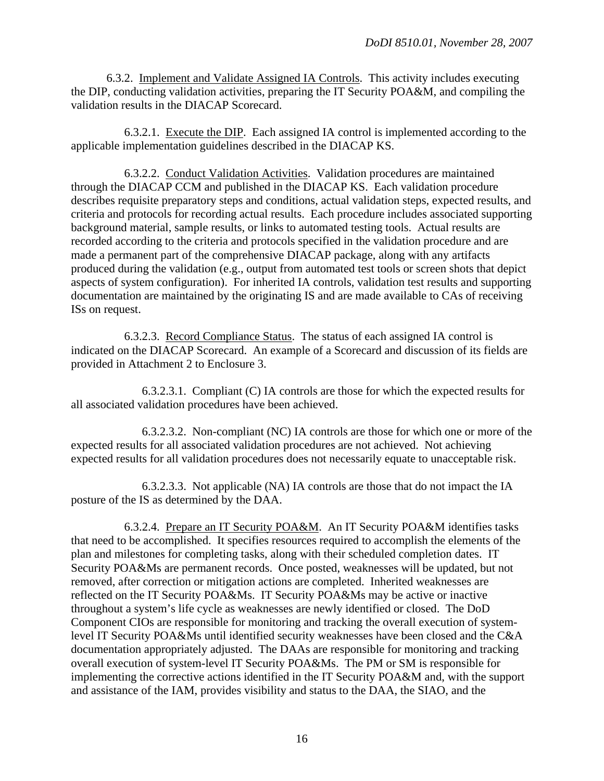6.3.2. Implement and Validate Assigned IA Controls. This activity includes executing the DIP, conducting validation activities, preparing the IT Security POA&M, and compiling the validation results in the DIACAP Scorecard.

 6.3.2.1. Execute the DIP. Each assigned IA control is implemented according to the applicable implementation guidelines described in the DIACAP KS.

 6.3.2.2. Conduct Validation Activities. Validation procedures are maintained through the DIACAP CCM and published in the DIACAP KS. Each validation procedure describes requisite preparatory steps and conditions, actual validation steps, expected results, and criteria and protocols for recording actual results. Each procedure includes associated supporting background material, sample results, or links to automated testing tools. Actual results are recorded according to the criteria and protocols specified in the validation procedure and are made a permanent part of the comprehensive DIACAP package, along with any artifacts produced during the validation (e.g., output from automated test tools or screen shots that depict aspects of system configuration). For inherited IA controls, validation test results and supporting documentation are maintained by the originating IS and are made available to CAs of receiving ISs on request.

 6.3.2.3. Record Compliance Status. The status of each assigned IA control is indicated on the DIACAP Scorecard. An example of a Scorecard and discussion of its fields are provided in Attachment 2 to Enclosure 3.

 6.3.2.3.1. Compliant (C) IA controls are those for which the expected results for all associated validation procedures have been achieved.

 6.3.2.3.2. Non-compliant (NC) IA controls are those for which one or more of the expected results for all associated validation procedures are not achieved. Not achieving expected results for all validation procedures does not necessarily equate to unacceptable risk.

 6.3.2.3.3. Not applicable (NA) IA controls are those that do not impact the IA posture of the IS as determined by the DAA.

 6.3.2.4. Prepare an IT Security POA&M. An IT Security POA&M identifies tasks that need to be accomplished. It specifies resources required to accomplish the elements of the plan and milestones for completing tasks, along with their scheduled completion dates. IT Security POA&Ms are permanent records. Once posted, weaknesses will be updated, but not removed, after correction or mitigation actions are completed. Inherited weaknesses are reflected on the IT Security POA&Ms. IT Security POA&Ms may be active or inactive throughout a system's life cycle as weaknesses are newly identified or closed. The DoD Component CIOs are responsible for monitoring and tracking the overall execution of systemlevel IT Security POA&Ms until identified security weaknesses have been closed and the C&A documentation appropriately adjusted. The DAAs are responsible for monitoring and tracking overall execution of system-level IT Security POA&Ms. The PM or SM is responsible for implementing the corrective actions identified in the IT Security POA&M and, with the support and assistance of the IAM, provides visibility and status to the DAA, the SIAO, and the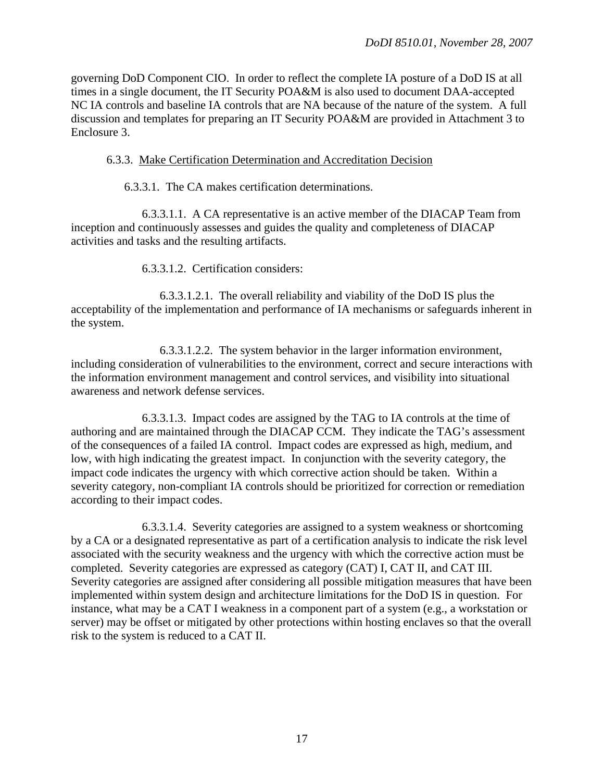governing DoD Component CIO. In order to reflect the complete IA posture of a DoD IS at all times in a single document, the IT Security POA&M is also used to document DAA-accepted NC IA controls and baseline IA controls that are NA because of the nature of the system. A full discussion and templates for preparing an IT Security POA&M are provided in Attachment 3 to Enclosure 3.

## 6.3.3. Make Certification Determination and Accreditation Decision

6.3.3.1. The CA makes certification determinations.

 6.3.3.1.1. A CA representative is an active member of the DIACAP Team from inception and continuously assesses and guides the quality and completeness of DIACAP activities and tasks and the resulting artifacts.

6.3.3.1.2. Certification considers:

 6.3.3.1.2.1. The overall reliability and viability of the DoD IS plus the acceptability of the implementation and performance of IA mechanisms or safeguards inherent in the system.

 6.3.3.1.2.2. The system behavior in the larger information environment, including consideration of vulnerabilities to the environment, correct and secure interactions with the information environment management and control services, and visibility into situational awareness and network defense services.

 6.3.3.1.3. Impact codes are assigned by the TAG to IA controls at the time of authoring and are maintained through the DIACAP CCM. They indicate the TAG's assessment of the consequences of a failed IA control. Impact codes are expressed as high, medium, and low, with high indicating the greatest impact. In conjunction with the severity category, the impact code indicates the urgency with which corrective action should be taken. Within a severity category, non-compliant IA controls should be prioritized for correction or remediation according to their impact codes.

 6.3.3.1.4. Severity categories are assigned to a system weakness or shortcoming by a CA or a designated representative as part of a certification analysis to indicate the risk level associated with the security weakness and the urgency with which the corrective action must be completed. Severity categories are expressed as category (CAT) I, CAT II, and CAT III. Severity categories are assigned after considering all possible mitigation measures that have been implemented within system design and architecture limitations for the DoD IS in question. For instance, what may be a CAT I weakness in a component part of a system (e.g., a workstation or server) may be offset or mitigated by other protections within hosting enclaves so that the overall risk to the system is reduced to a CAT II.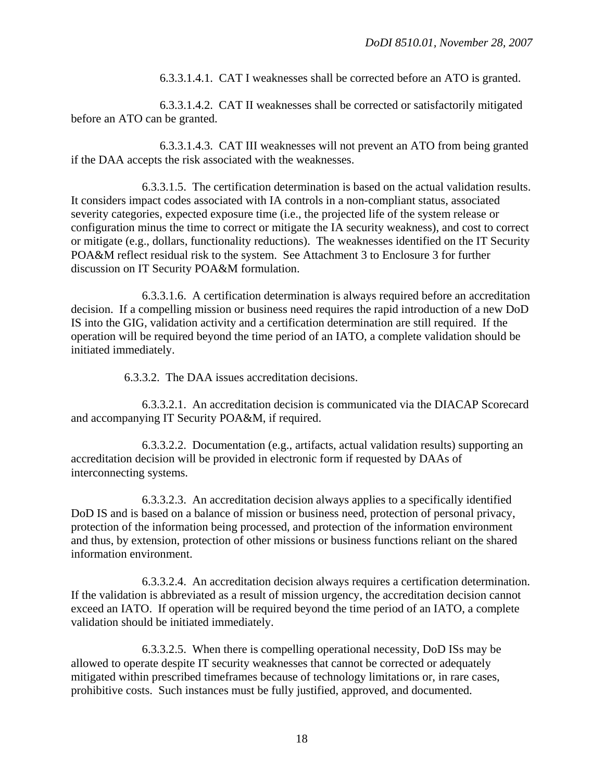6.3.3.1.4.1. CAT I weaknesses shall be corrected before an ATO is granted.

 6.3.3.1.4.2. CAT II weaknesses shall be corrected or satisfactorily mitigated before an ATO can be granted.

 6.3.3.1.4.3. CAT III weaknesses will not prevent an ATO from being granted if the DAA accepts the risk associated with the weaknesses.

 6.3.3.1.5. The certification determination is based on the actual validation results. It considers impact codes associated with IA controls in a non-compliant status, associated severity categories, expected exposure time (i.e., the projected life of the system release or configuration minus the time to correct or mitigate the IA security weakness), and cost to correct or mitigate (e.g., dollars, functionality reductions). The weaknesses identified on the IT Security POA&M reflect residual risk to the system. See Attachment 3 to Enclosure 3 for further discussion on IT Security POA&M formulation.

 6.3.3.1.6. A certification determination is always required before an accreditation decision. If a compelling mission or business need requires the rapid introduction of a new DoD IS into the GIG, validation activity and a certification determination are still required. If the operation will be required beyond the time period of an IATO, a complete validation should be initiated immediately.

6.3.3.2. The DAA issues accreditation decisions.

 6.3.3.2.1. An accreditation decision is communicated via the DIACAP Scorecard and accompanying IT Security POA&M, if required.

 6.3.3.2.2. Documentation (e.g., artifacts, actual validation results) supporting an accreditation decision will be provided in electronic form if requested by DAAs of interconnecting systems.

 6.3.3.2.3. An accreditation decision always applies to a specifically identified DoD IS and is based on a balance of mission or business need, protection of personal privacy, protection of the information being processed, and protection of the information environment and thus, by extension, protection of other missions or business functions reliant on the shared information environment.

 6.3.3.2.4. An accreditation decision always requires a certification determination. If the validation is abbreviated as a result of mission urgency, the accreditation decision cannot exceed an IATO. If operation will be required beyond the time period of an IATO, a complete validation should be initiated immediately.

 6.3.3.2.5. When there is compelling operational necessity, DoD ISs may be allowed to operate despite IT security weaknesses that cannot be corrected or adequately mitigated within prescribed timeframes because of technology limitations or, in rare cases, prohibitive costs. Such instances must be fully justified, approved, and documented.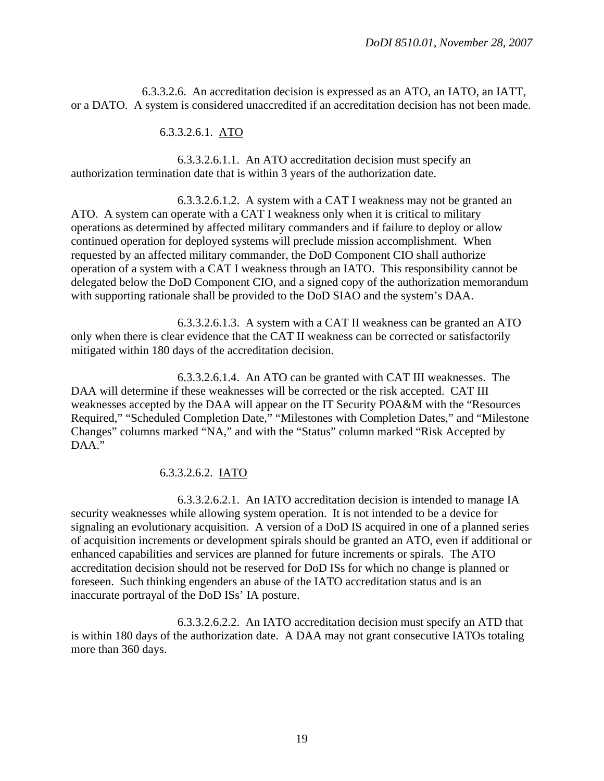6.3.3.2.6. An accreditation decision is expressed as an ATO, an IATO, an IATT, or a DATO. A system is considered unaccredited if an accreditation decision has not been made.

#### 6.3.3.2.6.1. ATO

 6.3.3.2.6.1.1. An ATO accreditation decision must specify an authorization termination date that is within 3 years of the authorization date.

 6.3.3.2.6.1.2. A system with a CAT I weakness may not be granted an ATO. A system can operate with a CAT I weakness only when it is critical to military operations as determined by affected military commanders and if failure to deploy or allow continued operation for deployed systems will preclude mission accomplishment. When requested by an affected military commander, the DoD Component CIO shall authorize operation of a system with a CAT I weakness through an IATO. This responsibility cannot be delegated below the DoD Component CIO, and a signed copy of the authorization memorandum with supporting rationale shall be provided to the DoD SIAO and the system's DAA.

 6.3.3.2.6.1.3. A system with a CAT II weakness can be granted an ATO only when there is clear evidence that the CAT II weakness can be corrected or satisfactorily mitigated within 180 days of the accreditation decision.

 6.3.3.2.6.1.4. An ATO can be granted with CAT III weaknesses. The DAA will determine if these weaknesses will be corrected or the risk accepted. CAT III weaknesses accepted by the DAA will appear on the IT Security POA&M with the "Resources Required," "Scheduled Completion Date," "Milestones with Completion Dates," and "Milestone Changes" columns marked "NA," and with the "Status" column marked "Risk Accepted by DAA."

## 6.3.3.2.6.2. IATO

 6.3.3.2.6.2.1. An IATO accreditation decision is intended to manage IA security weaknesses while allowing system operation. It is not intended to be a device for signaling an evolutionary acquisition. A version of a DoD IS acquired in one of a planned series of acquisition increments or development spirals should be granted an ATO, even if additional or enhanced capabilities and services are planned for future increments or spirals. The ATO accreditation decision should not be reserved for DoD ISs for which no change is planned or foreseen. Such thinking engenders an abuse of the IATO accreditation status and is an inaccurate portrayal of the DoD ISs' IA posture.

 6.3.3.2.6.2.2. An IATO accreditation decision must specify an ATD that is within 180 days of the authorization date. A DAA may not grant consecutive IATOs totaling more than 360 days.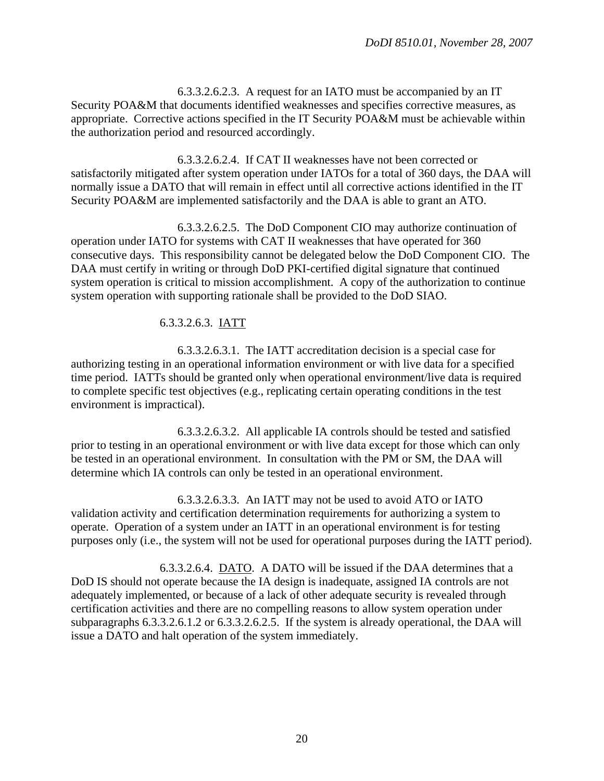6.3.3.2.6.2.3. A request for an IATO must be accompanied by an IT Security POA&M that documents identified weaknesses and specifies corrective measures, as appropriate. Corrective actions specified in the IT Security POA&M must be achievable within the authorization period and resourced accordingly.

 6.3.3.2.6.2.4. If CAT II weaknesses have not been corrected or satisfactorily mitigated after system operation under IATOs for a total of 360 days, the DAA will normally issue a DATO that will remain in effect until all corrective actions identified in the IT Security POA&M are implemented satisfactorily and the DAA is able to grant an ATO.

 6.3.3.2.6.2.5. The DoD Component CIO may authorize continuation of operation under IATO for systems with CAT II weaknesses that have operated for 360 consecutive days. This responsibility cannot be delegated below the DoD Component CIO. The DAA must certify in writing or through DoD PKI-certified digital signature that continued system operation is critical to mission accomplishment. A copy of the authorization to continue system operation with supporting rationale shall be provided to the DoD SIAO.

#### 6.3.3.2.6.3. IATT

 6.3.3.2.6.3.1. The IATT accreditation decision is a special case for authorizing testing in an operational information environment or with live data for a specified time period. IATTs should be granted only when operational environment/live data is required to complete specific test objectives (e.g., replicating certain operating conditions in the test environment is impractical).

 6.3.3.2.6.3.2. All applicable IA controls should be tested and satisfied prior to testing in an operational environment or with live data except for those which can only be tested in an operational environment. In consultation with the PM or SM, the DAA will determine which IA controls can only be tested in an operational environment.

 6.3.3.2.6.3.3. An IATT may not be used to avoid ATO or IATO validation activity and certification determination requirements for authorizing a system to operate. Operation of a system under an IATT in an operational environment is for testing purposes only (i.e., the system will not be used for operational purposes during the IATT period).

 6.3.3.2.6.4. DATO. A DATO will be issued if the DAA determines that a DoD IS should not operate because the IA design is inadequate, assigned IA controls are not adequately implemented, or because of a lack of other adequate security is revealed through certification activities and there are no compelling reasons to allow system operation under subparagraphs 6.3.3.2.6.1.2 or 6.3.3.2.6.2.5. If the system is already operational, the DAA will issue a DATO and halt operation of the system immediately.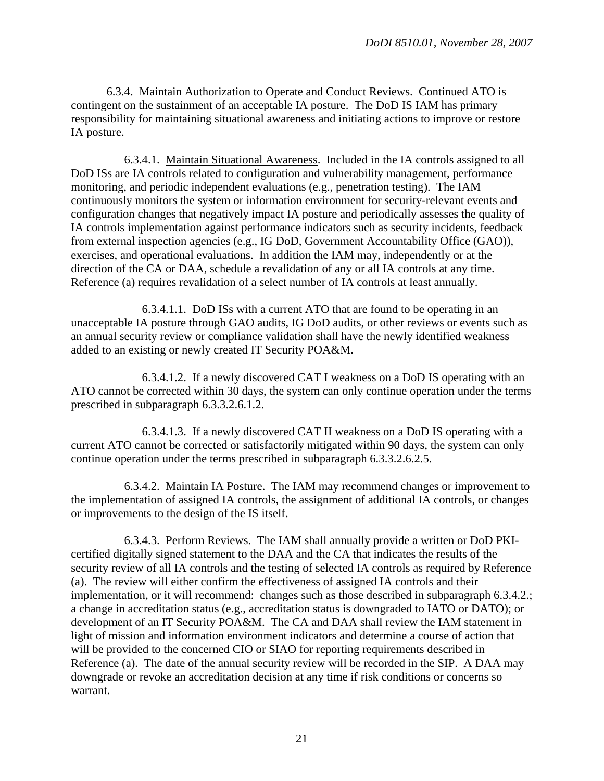6.3.4. Maintain Authorization to Operate and Conduct Reviews. Continued ATO is contingent on the sustainment of an acceptable IA posture. The DoD IS IAM has primary responsibility for maintaining situational awareness and initiating actions to improve or restore IA posture.

 6.3.4.1. Maintain Situational Awareness. Included in the IA controls assigned to all DoD ISs are IA controls related to configuration and vulnerability management, performance monitoring, and periodic independent evaluations (e.g., penetration testing). The IAM continuously monitors the system or information environment for security-relevant events and configuration changes that negatively impact IA posture and periodically assesses the quality of IA controls implementation against performance indicators such as security incidents, feedback from external inspection agencies (e.g., IG DoD, Government Accountability Office (GAO)), exercises, and operational evaluations. In addition the IAM may, independently or at the direction of the CA or DAA, schedule a revalidation of any or all IA controls at any time. Reference (a) requires revalidation of a select number of IA controls at least annually.

 6.3.4.1.1. DoD ISs with a current ATO that are found to be operating in an unacceptable IA posture through GAO audits, IG DoD audits, or other reviews or events such as an annual security review or compliance validation shall have the newly identified weakness added to an existing or newly created IT Security POA&M.

6.3.4.1.2. If a newly discovered CAT I weakness on a DoD IS operating with an ATO cannot be corrected within 30 days, the system can only continue operation under the terms prescribed in subparagraph 6.3.3.2.6.1.2.

6.3.4.1.3. If a newly discovered CAT II weakness on a DoD IS operating with a current ATO cannot be corrected or satisfactorily mitigated within 90 days, the system can only continue operation under the terms prescribed in subparagraph 6.3.3.2.6.2.5.

 6.3.4.2. Maintain IA Posture. The IAM may recommend changes or improvement to the implementation of assigned IA controls, the assignment of additional IA controls, or changes or improvements to the design of the IS itself.

 6.3.4.3. Perform Reviews. The IAM shall annually provide a written or DoD PKIcertified digitally signed statement to the DAA and the CA that indicates the results of the security review of all IA controls and the testing of selected IA controls as required by Reference (a). The review will either confirm the effectiveness of assigned IA controls and their implementation, or it will recommend: changes such as those described in subparagraph 6.3.4.2.; a change in accreditation status (e.g., accreditation status is downgraded to IATO or DATO); or development of an IT Security POA&M. The CA and DAA shall review the IAM statement in light of mission and information environment indicators and determine a course of action that will be provided to the concerned CIO or SIAO for reporting requirements described in Reference (a). The date of the annual security review will be recorded in the SIP. A DAA may downgrade or revoke an accreditation decision at any time if risk conditions or concerns so warrant.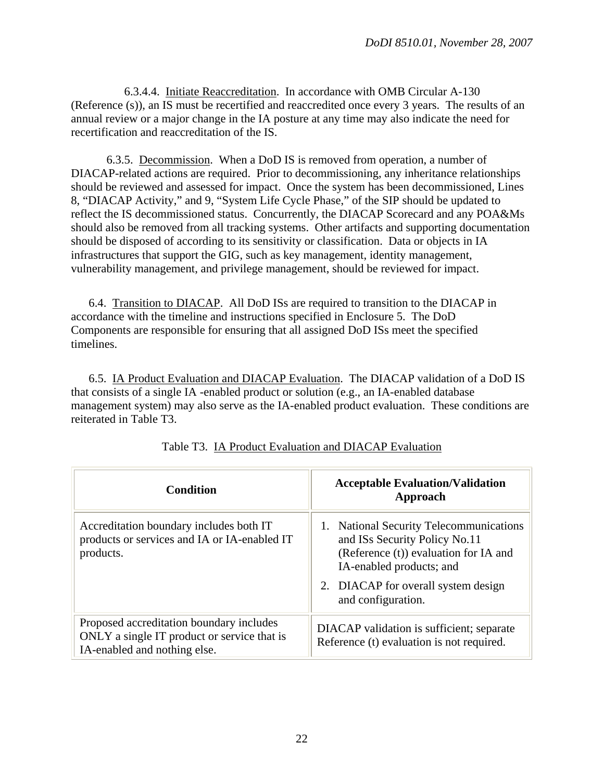6.3.4.4. Initiate Reaccreditation. In accordance with OMB Circular A-130 (Reference (s)), an IS must be recertified and reaccredited once every 3 years. The results of an annual review or a major change in the IA posture at any time may also indicate the need for recertification and reaccreditation of the IS.

 6.3.5. Decommission. When a DoD IS is removed from operation, a number of DIACAP-related actions are required. Prior to decommissioning, any inheritance relationships should be reviewed and assessed for impact. Once the system has been decommissioned, Lines 8, "DIACAP Activity," and 9, "System Life Cycle Phase," of the SIP should be updated to reflect the IS decommissioned status. Concurrently, the DIACAP Scorecard and any POA&Ms should also be removed from all tracking systems. Other artifacts and supporting documentation should be disposed of according to its sensitivity or classification. Data or objects in IA infrastructures that support the GIG, such as key management, identity management, vulnerability management, and privilege management, should be reviewed for impact.

 6.4. Transition to DIACAP. All DoD ISs are required to transition to the DIACAP in accordance with the timeline and instructions specified in Enclosure 5. The DoD Components are responsible for ensuring that all assigned DoD ISs meet the specified timelines.

 6.5. IA Product Evaluation and DIACAP Evaluation. The DIACAP validation of a DoD IS that consists of a single IA -enabled product or solution (e.g., an IA-enabled database management system) may also serve as the IA-enabled product evaluation. These conditions are reiterated in Table T3.

| <b>Condition</b>                                                                                                        | <b>Acceptable Evaluation/Validation</b><br>Approach                                                                                                                                                        |
|-------------------------------------------------------------------------------------------------------------------------|------------------------------------------------------------------------------------------------------------------------------------------------------------------------------------------------------------|
| Accreditation boundary includes both IT<br>products or services and IA or IA-enabled IT<br>products.                    | 1. National Security Telecommunications<br>and ISs Security Policy No.11<br>(Reference (t)) evaluation for IA and<br>IA-enabled products; and<br>2. DIACAP for overall system design<br>and configuration. |
| Proposed accreditation boundary includes<br>ONLY a single IT product or service that is<br>IA-enabled and nothing else. | DIACAP validation is sufficient; separate<br>Reference (t) evaluation is not required.                                                                                                                     |

Table T3. IA Product Evaluation and DIACAP Evaluation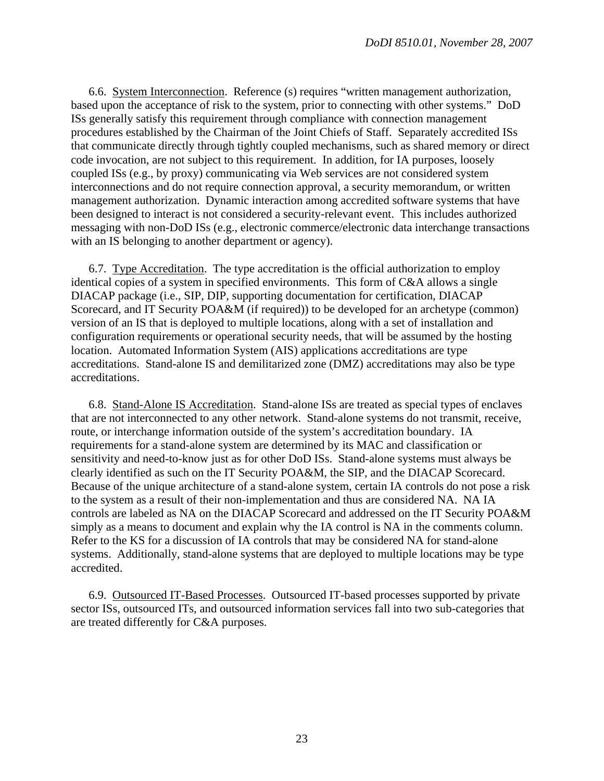6.6. System Interconnection. Reference (s) requires "written management authorization, based upon the acceptance of risk to the system, prior to connecting with other systems." DoD ISs generally satisfy this requirement through compliance with connection management procedures established by the Chairman of the Joint Chiefs of Staff. Separately accredited ISs that communicate directly through tightly coupled mechanisms, such as shared memory or direct code invocation, are not subject to this requirement. In addition, for IA purposes, loosely coupled ISs (e.g., by proxy) communicating via Web services are not considered system interconnections and do not require connection approval, a security memorandum, or written management authorization. Dynamic interaction among accredited software systems that have been designed to interact is not considered a security-relevant event. This includes authorized messaging with non-DoD ISs (e.g., electronic commerce/electronic data interchange transactions with an IS belonging to another department or agency).

 6.7. Type Accreditation. The type accreditation is the official authorization to employ identical copies of a system in specified environments. This form of C&A allows a single DIACAP package (i.e., SIP, DIP, supporting documentation for certification, DIACAP Scorecard, and IT Security POA&M (if required)) to be developed for an archetype (common) version of an IS that is deployed to multiple locations, along with a set of installation and configuration requirements or operational security needs, that will be assumed by the hosting location. Automated Information System (AIS) applications accreditations are type accreditations. Stand-alone IS and demilitarized zone (DMZ) accreditations may also be type accreditations.

 6.8. Stand-Alone IS Accreditation. Stand-alone ISs are treated as special types of enclaves that are not interconnected to any other network. Stand-alone systems do not transmit, receive, route, or interchange information outside of the system's accreditation boundary. IA requirements for a stand-alone system are determined by its MAC and classification or sensitivity and need-to-know just as for other DoD ISs. Stand-alone systems must always be clearly identified as such on the IT Security POA&M, the SIP, and the DIACAP Scorecard. Because of the unique architecture of a stand-alone system, certain IA controls do not pose a risk to the system as a result of their non-implementation and thus are considered NA. NA IA controls are labeled as NA on the DIACAP Scorecard and addressed on the IT Security POA&M simply as a means to document and explain why the IA control is NA in the comments column. Refer to the KS for a discussion of IA controls that may be considered NA for stand-alone systems. Additionally, stand-alone systems that are deployed to multiple locations may be type accredited.

 6.9. Outsourced IT-Based Processes. Outsourced IT-based processes supported by private sector ISs, outsourced ITs, and outsourced information services fall into two sub-categories that are treated differently for C&A purposes.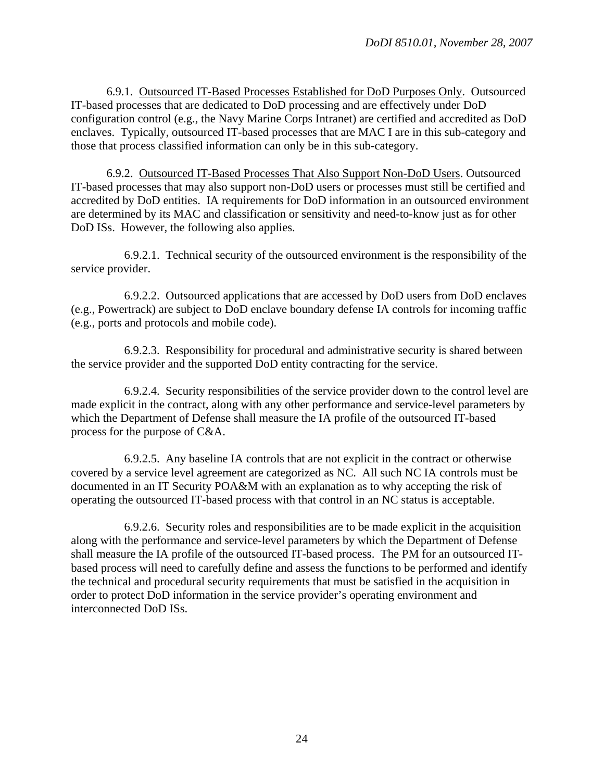6.9.1. Outsourced IT-Based Processes Established for DoD Purposes Only. Outsourced IT-based processes that are dedicated to DoD processing and are effectively under DoD configuration control (e.g., the Navy Marine Corps Intranet) are certified and accredited as DoD enclaves. Typically, outsourced IT-based processes that are MAC I are in this sub-category and those that process classified information can only be in this sub-category.

 6.9.2. Outsourced IT-Based Processes That Also Support Non-DoD Users. Outsourced IT-based processes that may also support non-DoD users or processes must still be certified and accredited by DoD entities. IA requirements for DoD information in an outsourced environment are determined by its MAC and classification or sensitivity and need-to-know just as for other DoD ISs. However, the following also applies.

 6.9.2.1. Technical security of the outsourced environment is the responsibility of the service provider.

 6.9.2.2. Outsourced applications that are accessed by DoD users from DoD enclaves (e.g., Powertrack) are subject to DoD enclave boundary defense IA controls for incoming traffic (e.g., ports and protocols and mobile code).

 6.9.2.3. Responsibility for procedural and administrative security is shared between the service provider and the supported DoD entity contracting for the service.

 6.9.2.4. Security responsibilities of the service provider down to the control level are made explicit in the contract, along with any other performance and service-level parameters by which the Department of Defense shall measure the IA profile of the outsourced IT-based process for the purpose of C&A.

 6.9.2.5. Any baseline IA controls that are not explicit in the contract or otherwise covered by a service level agreement are categorized as NC. All such NC IA controls must be documented in an IT Security POA&M with an explanation as to why accepting the risk of operating the outsourced IT-based process with that control in an NC status is acceptable.

 6.9.2.6. Security roles and responsibilities are to be made explicit in the acquisition along with the performance and service-level parameters by which the Department of Defense shall measure the IA profile of the outsourced IT-based process. The PM for an outsourced ITbased process will need to carefully define and assess the functions to be performed and identify the technical and procedural security requirements that must be satisfied in the acquisition in order to protect DoD information in the service provider's operating environment and interconnected DoD ISs.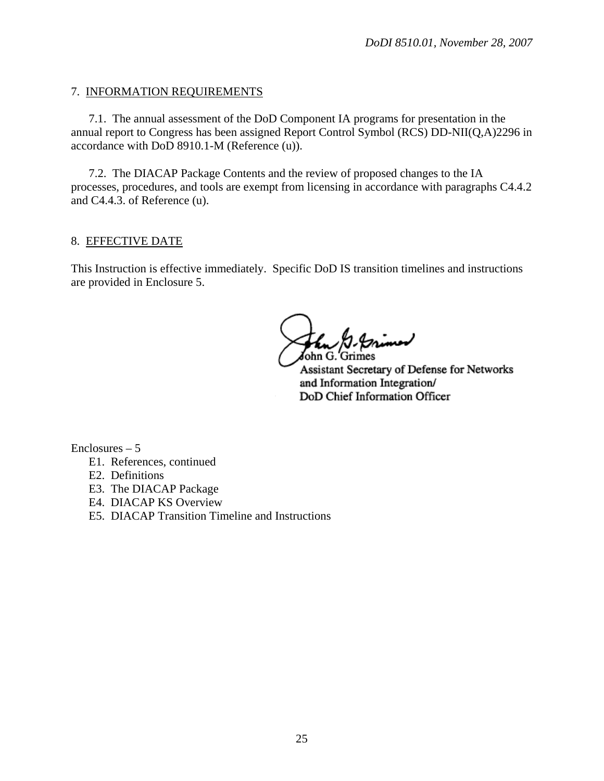#### 7. INFORMATION REQUIREMENTS

 7.1. The annual assessment of the DoD Component IA programs for presentation in the annual report to Congress has been assigned Report Control Symbol (RCS) DD-NII(Q,A)2296 in accordance with DoD 8910.1-M (Reference (u)).

 7.2. The DIACAP Package Contents and the review of proposed changes to the IA processes, procedures, and tools are exempt from licensing in accordance with paragraphs C4.4.2 and C4.4.3. of Reference (u).

#### 8. EFFECTIVE DATE

This Instruction is effective immediately. Specific DoD IS transition timelines and instructions are provided in Enclosure 5.

John G. Grimes

Assistant Secretary of Defense for Networks and Information Integration/ DoD Chief Information Officer

 $Enclosures - 5$ 

- E1. References, continued
- E2. Definitions
- E3. The DIACAP Package
- E4. DIACAP KS Overview
- E5. DIACAP Transition Timeline and Instructions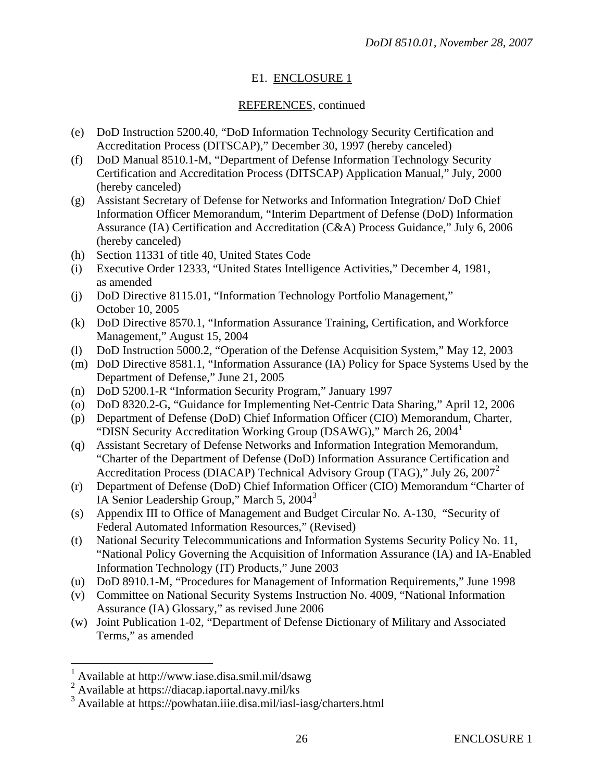# E1. ENCLOSURE 1

## REFERENCES, continued

- <span id="page-25-0"></span>(e) DoD Instruction 5200.40, "DoD Information Technology Security Certification and Accreditation Process (DITSCAP)," December 30, 1997 (hereby canceled)
- (f) DoD Manual 8510.1-M, "Department of Defense Information Technology Security Certification and Accreditation Process (DITSCAP) Application Manual," July, 2000 (hereby canceled)
- (g) Assistant Secretary of Defense for Networks and Information Integration/ DoD Chief Information Officer Memorandum, "Interim Department of Defense (DoD) Information Assurance (IA) Certification and Accreditation (C&A) Process Guidance," July 6, 2006 (hereby canceled)
- (h) Section 11331 of title 40, United States Code
- (i) Executive Order 12333, "United States Intelligence Activities," December 4, 1981, as amended
- (j) DoD Directive 8115.01, "Information Technology Portfolio Management," October 10, 2005
- (k) DoD Directive 8570.1, "Information Assurance Training, Certification, and Workforce Management," August 15, 2004
- (l) DoD Instruction 5000.2, "Operation of the Defense Acquisition System," May 12, 2003
- (m) DoD Directive 8581.1, "Information Assurance (IA) Policy for Space Systems Used by the Department of Defense," June 21, 2005
- (n) DoD 5200.1-R "Information Security Program," January 1997
- (o) DoD 8320.2-G, "Guidance for Implementing Net-Centric Data Sharing," April 12, 2006
- (p) Department of Defense (DoD) Chief Information Officer (CIO) Memorandum, Charter, "DISN Security Accreditation Working Group (DSAWG)," March  $26, 2004$ <sup>[1](#page-25-0)</sup>
- (q) Assistant Secretary of Defense Networks and Information Integration Memorandum, "Charter of the Department of Defense (DoD) Information Assurance Certification and Accreditation Process (DIACAP) Technical Advisory Group (TAG)," July 26, 2007[2](#page-25-0)
- (r) Department of Defense (DoD) Chief Information Officer (CIO) Memorandum "Charter of IA Senior Leadership Group," March 5, 2004[3](#page-25-0)
- (s) Appendix III to Office of Management and Budget Circular No. A-130, "Security of Federal Automated Information Resources," (Revised)
- (t) National Security Telecommunications and Information Systems Security Policy No. 11, "National Policy Governing the Acquisition of Information Assurance (IA) and IA-Enabled Information Technology (IT) Products," June 2003
- (u) DoD 8910.1-M, "Procedures for Management of Information Requirements," June 1998
- (v) Committee on National Security Systems Instruction No. 4009, "National Information Assurance (IA) Glossary," as revised June 2006
- (w) Joint Publication 1-02, "Department of Defense Dictionary of Military and Associated Terms," as amended

 $\overline{a}$ 

<sup>1</sup> Available at http://www.iase.disa.smil.mil/dsawg

<sup>&</sup>lt;sup>2</sup> Available at https://diacap.iaportal.navy.mil/ks

<sup>3</sup> Available at https://powhatan.iiie.disa.mil/iasl-iasg/charters.html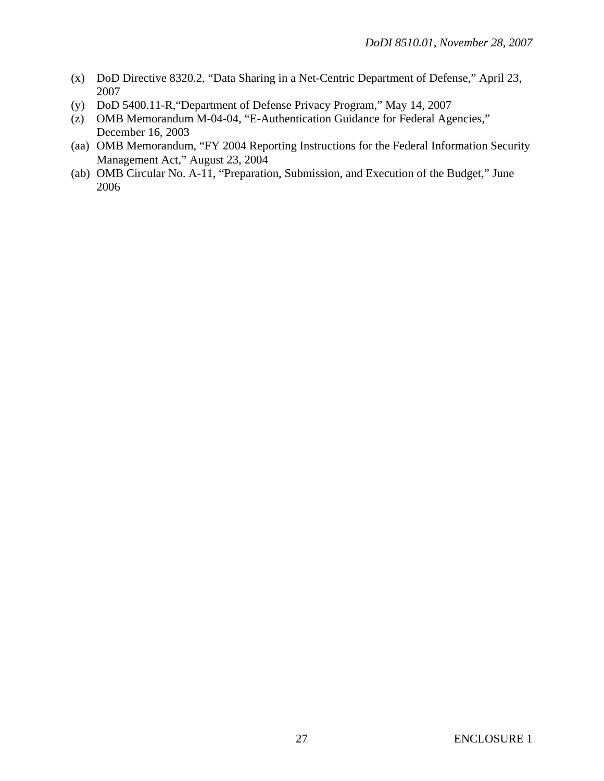- (x) DoD Directive 8320.2, "Data Sharing in a Net-Centric Department of Defense," April 23, 2007
- (y) DoD 5400.11-R,"Department of Defense Privacy Program," May 14, 2007
- (z) OMB Memorandum M-04-04, "E-Authentication Guidance for Federal Agencies," December 16, 2003
- (aa) OMB Memorandum, "FY 2004 Reporting Instructions for the Federal Information Security Management Act," August 23, 2004
- (ab) OMB Circular No. A-11, "Preparation, Submission, and Execution of the Budget," June 2006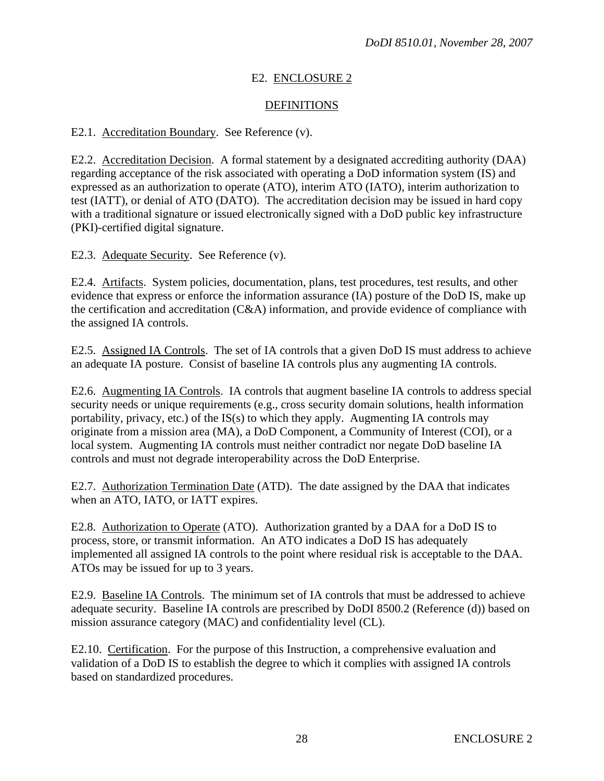# E2. ENCLOSURE 2

# DEFINITIONS

## E2.1. Accreditation Boundary. See Reference (v).

E2.2. Accreditation Decision. A formal statement by a designated accrediting authority (DAA) regarding acceptance of the risk associated with operating a DoD information system (IS) and expressed as an authorization to operate (ATO), interim ATO (IATO), interim authorization to test (IATT), or denial of ATO (DATO). The accreditation decision may be issued in hard copy with a traditional signature or issued electronically signed with a DoD public key infrastructure (PKI)-certified digital signature.

E2.3. Adequate Security. See Reference (v).

E2.4. Artifacts. System policies, documentation, plans, test procedures, test results, and other evidence that express or enforce the information assurance (IA) posture of the DoD IS, make up the certification and accreditation (C&A) information, and provide evidence of compliance with the assigned IA controls.

E2.5. Assigned IA Controls. The set of IA controls that a given DoD IS must address to achieve an adequate IA posture. Consist of baseline IA controls plus any augmenting IA controls.

E2.6. Augmenting IA Controls. IA controls that augment baseline IA controls to address special security needs or unique requirements (e.g., cross security domain solutions, health information portability, privacy, etc.) of the IS(s) to which they apply. Augmenting IA controls may originate from a mission area (MA), a DoD Component, a Community of Interest (COI), or a local system. Augmenting IA controls must neither contradict nor negate DoD baseline IA controls and must not degrade interoperability across the DoD Enterprise.

E2.7. Authorization Termination Date (ATD). The date assigned by the DAA that indicates when an ATO, IATO, or IATT expires.

E2.8. Authorization to Operate (ATO). Authorization granted by a DAA for a DoD IS to process, store, or transmit information. An ATO indicates a DoD IS has adequately implemented all assigned IA controls to the point where residual risk is acceptable to the DAA. ATOs may be issued for up to 3 years.

E2.9. Baseline IA Controls. The minimum set of IA controls that must be addressed to achieve adequate security. Baseline IA controls are prescribed by DoDI 8500.2 (Reference (d)) based on mission assurance category (MAC) and confidentiality level (CL).

E2.10. Certification. For the purpose of this Instruction, a comprehensive evaluation and validation of a DoD IS to establish the degree to which it complies with assigned IA controls based on standardized procedures.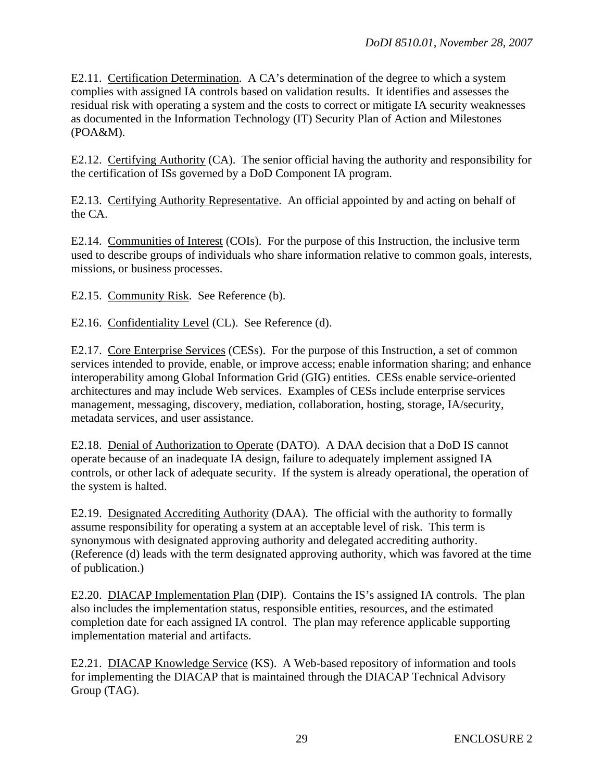E2.11. Certification Determination. A CA's determination of the degree to which a system complies with assigned IA controls based on validation results. It identifies and assesses the residual risk with operating a system and the costs to correct or mitigate IA security weaknesses as documented in the Information Technology (IT) Security Plan of Action and Milestones (POA&M).

E2.12. Certifying Authority (CA). The senior official having the authority and responsibility for the certification of ISs governed by a DoD Component IA program.

E2.13. Certifying Authority Representative. An official appointed by and acting on behalf of the CA.

E2.14. Communities of Interest (COIs). For the purpose of this Instruction, the inclusive term used to describe groups of individuals who share information relative to common goals, interests, missions, or business processes.

E2.15. Community Risk. See Reference (b).

E2.16. Confidentiality Level (CL). See Reference (d).

E2.17. Core Enterprise Services (CESs). For the purpose of this Instruction, a set of common services intended to provide, enable, or improve access; enable information sharing; and enhance interoperability among Global Information Grid (GIG) entities. CESs enable service-oriented architectures and may include Web services. Examples of CESs include enterprise services management, messaging, discovery, mediation, collaboration, hosting, storage, IA/security, metadata services, and user assistance.

E2.18. Denial of Authorization to Operate (DATO). A DAA decision that a DoD IS cannot operate because of an inadequate IA design, failure to adequately implement assigned IA controls, or other lack of adequate security. If the system is already operational, the operation of the system is halted.

E2.19. Designated Accrediting Authority (DAA). The official with the authority to formally assume responsibility for operating a system at an acceptable level of risk. This term is synonymous with designated approving authority and delegated accrediting authority. (Reference (d) leads with the term designated approving authority, which was favored at the time of publication.)

E2.20. DIACAP Implementation Plan (DIP). Contains the IS's assigned IA controls. The plan also includes the implementation status, responsible entities, resources, and the estimated completion date for each assigned IA control. The plan may reference applicable supporting implementation material and artifacts.

E2.21. DIACAP Knowledge Service (KS). A Web-based repository of information and tools for implementing the DIACAP that is maintained through the DIACAP Technical Advisory Group (TAG).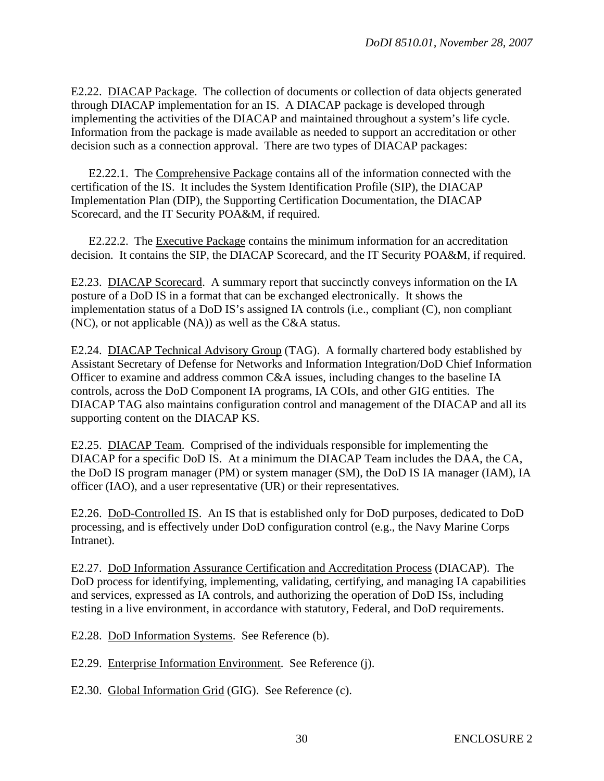E2.22. DIACAP Package. The collection of documents or collection of data objects generated through DIACAP implementation for an IS. A DIACAP package is developed through implementing the activities of the DIACAP and maintained throughout a system's life cycle. Information from the package is made available as needed to support an accreditation or other decision such as a connection approval. There are two types of DIACAP packages:

 E2.22.1. The Comprehensive Package contains all of the information connected with the certification of the IS. It includes the System Identification Profile (SIP), the DIACAP Implementation Plan (DIP), the Supporting Certification Documentation, the DIACAP Scorecard, and the IT Security POA&M, if required.

 E2.22.2. The Executive Package contains the minimum information for an accreditation decision. It contains the SIP, the DIACAP Scorecard, and the IT Security POA&M, if required.

E2.23. DIACAP Scorecard. A summary report that succinctly conveys information on the IA posture of a DoD IS in a format that can be exchanged electronically. It shows the implementation status of a DoD IS's assigned IA controls (i.e., compliant (C), non compliant (NC), or not applicable (NA)) as well as the C&A status.

E2.24. DIACAP Technical Advisory Group (TAG). A formally chartered body established by Assistant Secretary of Defense for Networks and Information Integration/DoD Chief Information Officer to examine and address common C&A issues, including changes to the baseline IA controls, across the DoD Component IA programs, IA COIs, and other GIG entities. The DIACAP TAG also maintains configuration control and management of the DIACAP and all its supporting content on the DIACAP KS.

E2.25. DIACAP Team. Comprised of the individuals responsible for implementing the DIACAP for a specific DoD IS. At a minimum the DIACAP Team includes the DAA, the CA, the DoD IS program manager (PM) or system manager (SM), the DoD IS IA manager (IAM), IA officer (IAO), and a user representative (UR) or their representatives.

E2.26. DoD-Controlled IS. An IS that is established only for DoD purposes, dedicated to DoD processing, and is effectively under DoD configuration control (e.g., the Navy Marine Corps Intranet).

E2.27. DoD Information Assurance Certification and Accreditation Process (DIACAP). The DoD process for identifying, implementing, validating, certifying, and managing IA capabilities and services, expressed as IA controls, and authorizing the operation of DoD ISs, including testing in a live environment, in accordance with statutory, Federal, and DoD requirements.

E2.28. DoD Information Systems. See Reference (b).

E2.29. Enterprise Information Environment. See Reference (j).

E2.30. Global Information Grid (GIG). See Reference (c).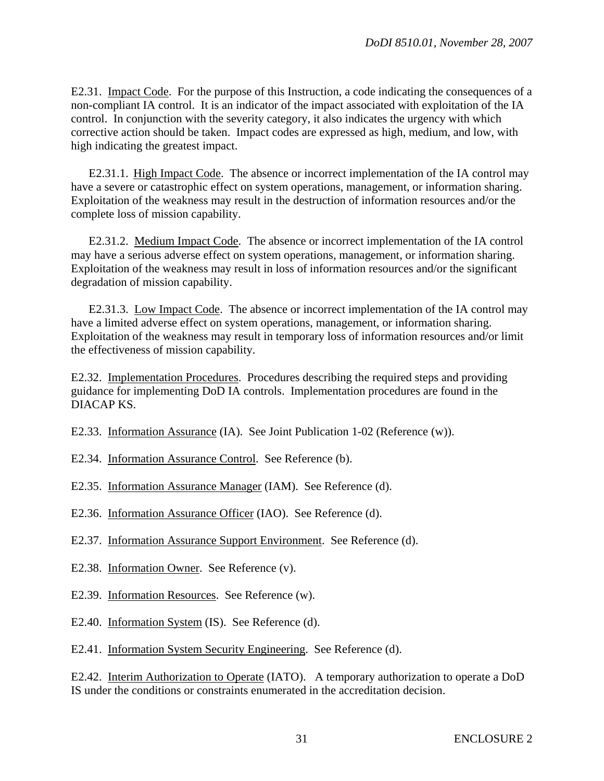E2.31. Impact Code. For the purpose of this Instruction, a code indicating the consequences of a non-compliant IA control. It is an indicator of the impact associated with exploitation of the IA control. In conjunction with the severity category, it also indicates the urgency with which corrective action should be taken. Impact codes are expressed as high, medium, and low, with high indicating the greatest impact.

 E2.31.1. High Impact Code. The absence or incorrect implementation of the IA control may have a severe or catastrophic effect on system operations, management, or information sharing. Exploitation of the weakness may result in the destruction of information resources and/or the complete loss of mission capability.

 E2.31.2. Medium Impact Code. The absence or incorrect implementation of the IA control may have a serious adverse effect on system operations, management, or information sharing. Exploitation of the weakness may result in loss of information resources and/or the significant degradation of mission capability.

 E2.31.3. Low Impact Code. The absence or incorrect implementation of the IA control may have a limited adverse effect on system operations, management, or information sharing. Exploitation of the weakness may result in temporary loss of information resources and/or limit the effectiveness of mission capability.

E2.32. Implementation Procedures. Procedures describing the required steps and providing guidance for implementing DoD IA controls. Implementation procedures are found in the DIACAP KS.

E2.33. Information Assurance (IA). See Joint Publication 1-02 (Reference (w)).

- E2.34. Information Assurance Control. See Reference (b).
- E2.35. Information Assurance Manager (IAM). See Reference (d).
- E2.36. Information Assurance Officer (IAO). See Reference (d).
- E2.37. Information Assurance Support Environment. See Reference (d).
- E2.38. Information Owner. See Reference (v).
- E2.39. Information Resources. See Reference (w).
- E2.40. Information System (IS). See Reference (d).

E2.41. Information System Security Engineering. See Reference (d).

E2.42. Interim Authorization to Operate (IATO). A temporary authorization to operate a DoD IS under the conditions or constraints enumerated in the accreditation decision.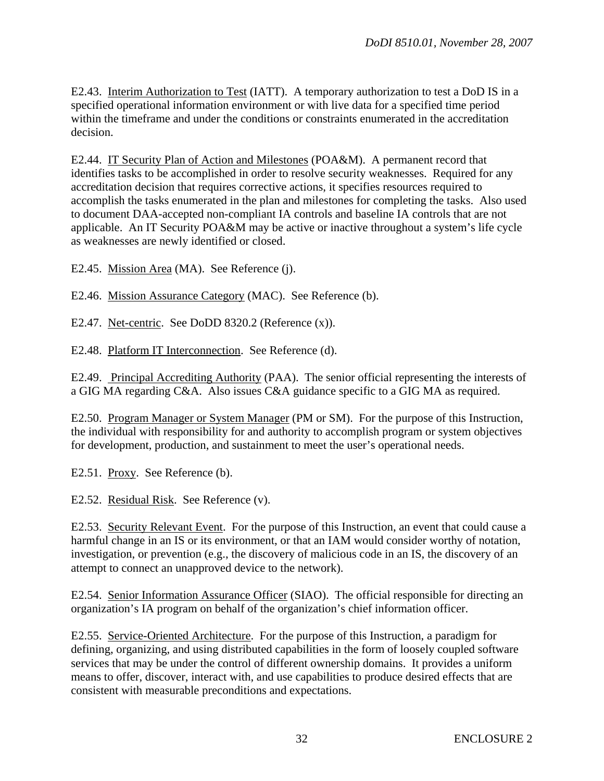E2.43. Interim Authorization to Test (IATT). A temporary authorization to test a DoD IS in a specified operational information environment or with live data for a specified time period within the timeframe and under the conditions or constraints enumerated in the accreditation decision.

E2.44. IT Security Plan of Action and Milestones (POA&M). A permanent record that identifies tasks to be accomplished in order to resolve security weaknesses. Required for any accreditation decision that requires corrective actions, it specifies resources required to accomplish the tasks enumerated in the plan and milestones for completing the tasks. Also used to document DAA-accepted non-compliant IA controls and baseline IA controls that are not applicable. An IT Security POA&M may be active or inactive throughout a system's life cycle as weaknesses are newly identified or closed.

E2.45. Mission Area (MA). See Reference (j).

E2.46. Mission Assurance Category (MAC). See Reference (b).

E2.47. Net-centric. See DoDD 8320.2 (Reference (x)).

E2.48. Platform IT Interconnection. See Reference (d).

E2.49. Principal Accrediting Authority (PAA). The senior official representing the interests of a GIG MA regarding C&A. Also issues C&A guidance specific to a GIG MA as required.

E2.50. Program Manager or System Manager (PM or SM). For the purpose of this Instruction, the individual with responsibility for and authority to accomplish program or system objectives for development, production, and sustainment to meet the user's operational needs.

E2.51. Proxy. See Reference (b).

E2.52. Residual Risk. See Reference (v).

E2.53. Security Relevant Event. For the purpose of this Instruction, an event that could cause a harmful change in an IS or its environment, or that an IAM would consider worthy of notation, investigation, or prevention (e.g., the discovery of malicious code in an IS, the discovery of an attempt to connect an unapproved device to the network).

E2.54. Senior Information Assurance Officer (SIAO). The official responsible for directing an organization's IA program on behalf of the organization's chief information officer.

E2.55. Service-Oriented Architecture. For the purpose of this Instruction, a paradigm for defining, organizing, and using distributed capabilities in the form of loosely coupled software services that may be under the control of different ownership domains. It provides a uniform means to offer, discover, interact with, and use capabilities to produce desired effects that are consistent with measurable preconditions and expectations.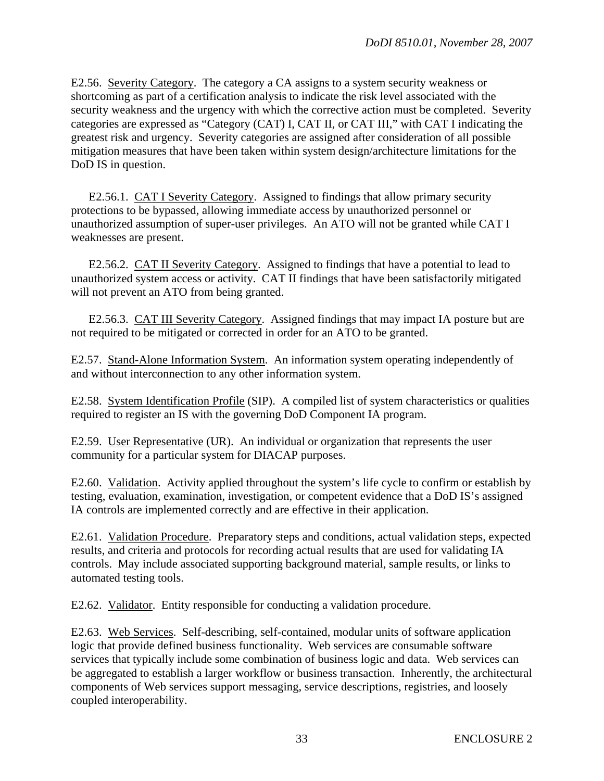E2.56. Severity Category. The category a CA assigns to a system security weakness or shortcoming as part of a certification analysis to indicate the risk level associated with the security weakness and the urgency with which the corrective action must be completed. Severity categories are expressed as "Category (CAT) I, CAT II, or CAT III," with CAT I indicating the greatest risk and urgency. Severity categories are assigned after consideration of all possible mitigation measures that have been taken within system design/architecture limitations for the DoD IS in question.

 E2.56.1. CAT I Severity Category. Assigned to findings that allow primary security protections to be bypassed, allowing immediate access by unauthorized personnel or unauthorized assumption of super-user privileges. An ATO will not be granted while CAT I weaknesses are present.

 E2.56.2. CAT II Severity Category. Assigned to findings that have a potential to lead to unauthorized system access or activity. CAT II findings that have been satisfactorily mitigated will not prevent an ATO from being granted.

 E2.56.3. CAT III Severity Category. Assigned findings that may impact IA posture but are not required to be mitigated or corrected in order for an ATO to be granted.

E2.57. Stand-Alone Information System. An information system operating independently of and without interconnection to any other information system.

E2.58. System Identification Profile (SIP). A compiled list of system characteristics or qualities required to register an IS with the governing DoD Component IA program.

E2.59. User Representative (UR). An individual or organization that represents the user community for a particular system for DIACAP purposes.

E2.60. Validation. Activity applied throughout the system's life cycle to confirm or establish by testing, evaluation, examination, investigation, or competent evidence that a DoD IS's assigned IA controls are implemented correctly and are effective in their application.

E2.61. Validation Procedure. Preparatory steps and conditions, actual validation steps, expected results, and criteria and protocols for recording actual results that are used for validating IA controls. May include associated supporting background material, sample results, or links to automated testing tools.

E2.62. Validator. Entity responsible for conducting a validation procedure.

E2.63. Web Services. Self-describing, self-contained, modular units of software application logic that provide defined business functionality. Web services are consumable software services that typically include some combination of business logic and data. Web services can be aggregated to establish a larger workflow or business transaction. Inherently, the architectural components of Web services support messaging, service descriptions, registries, and loosely coupled interoperability.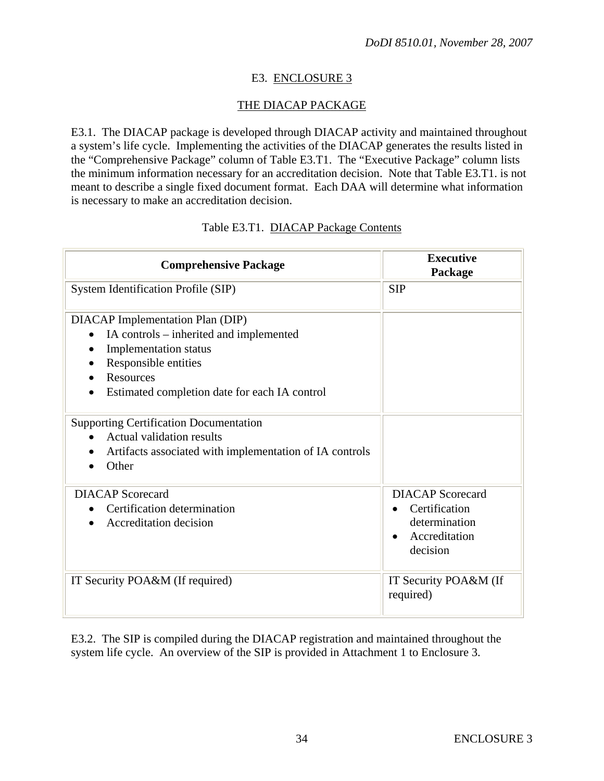# E3. ENCLOSURE 3

## THE DIACAP PACKAGE

E3.1. The DIACAP package is developed through DIACAP activity and maintained throughout a system's life cycle. Implementing the activities of the DIACAP generates the results listed in the "Comprehensive Package" column of Table E3.T1. The "Executive Package" column lists the minimum information necessary for an accreditation decision. Note that Table E3.T1. is not meant to describe a single fixed document format. Each DAA will determine what information is necessary to make an accreditation decision.

#### Table E3.T1. DIACAP Package Contents

| <b>Comprehensive Package</b>                                                                                                                                                                             | <b>Executive</b><br>Package                                                            |
|----------------------------------------------------------------------------------------------------------------------------------------------------------------------------------------------------------|----------------------------------------------------------------------------------------|
| System Identification Profile (SIP)                                                                                                                                                                      | <b>SIP</b>                                                                             |
| DIACAP Implementation Plan (DIP)<br>IA controls – inherited and implemented<br><b>Implementation</b> status<br>Responsible entities<br><b>Resources</b><br>Estimated completion date for each IA control |                                                                                        |
| <b>Supporting Certification Documentation</b><br><b>Actual validation results</b><br>Artifacts associated with implementation of IA controls<br>Other                                                    |                                                                                        |
| <b>DIACAP</b> Scorecard<br>Certification determination<br>Accreditation decision                                                                                                                         | <b>DIACAP</b> Scorecard<br>Certification<br>determination<br>Accreditation<br>decision |
| IT Security POA&M (If required)                                                                                                                                                                          | IT Security POA&M (If<br>required)                                                     |

E3.2. The SIP is compiled during the DIACAP registration and maintained throughout the system life cycle. An overview of the SIP is provided in Attachment 1 to Enclosure 3.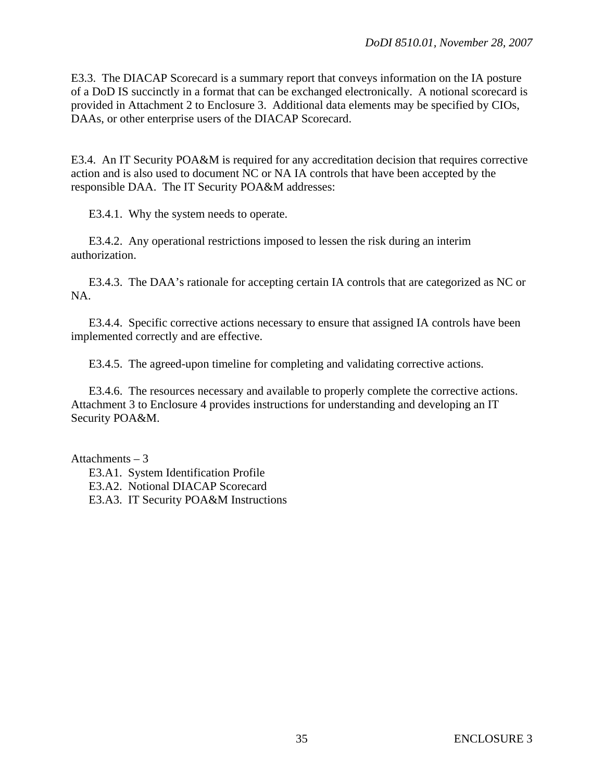E3.3. The DIACAP Scorecard is a summary report that conveys information on the IA posture of a DoD IS succinctly in a format that can be exchanged electronically. A notional scorecard is provided in Attachment 2 to Enclosure 3. Additional data elements may be specified by CIOs, DAAs, or other enterprise users of the DIACAP Scorecard.

E3.4. An IT Security POA&M is required for any accreditation decision that requires corrective action and is also used to document NC or NA IA controls that have been accepted by the responsible DAA. The IT Security POA&M addresses:

E3.4.1. Why the system needs to operate.

 E3.4.2. Any operational restrictions imposed to lessen the risk during an interim authorization.

 E3.4.3. The DAA's rationale for accepting certain IA controls that are categorized as NC or NA.

 E3.4.4. Specific corrective actions necessary to ensure that assigned IA controls have been implemented correctly and are effective.

E3.4.5. The agreed-upon timeline for completing and validating corrective actions.

 E3.4.6. The resources necessary and available to properly complete the corrective actions. Attachment 3 to Enclosure 4 provides instructions for understanding and developing an IT Security POA&M.

Attachments – 3

 E3.A1. System Identification Profile E3.A2. Notional DIACAP Scorecard E3.A3. IT Security POA&M Instructions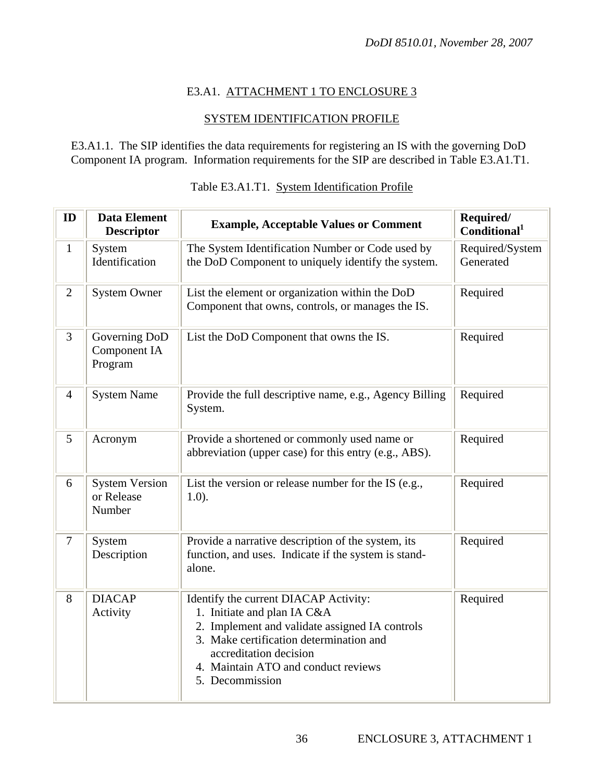# E3.A1. ATTACHMENT 1 TO ENCLOSURE 3

# SYSTEM IDENTIFICATION PROFILE

E3.A1.1. The SIP identifies the data requirements for registering an IS with the governing DoD Component IA program. Information requirements for the SIP are described in Table E3.A1.T1.

| ID             | <b>Data Element</b><br>Descriptor             | <b>Example, Acceptable Values or Comment</b>                                                                                                                                                                                                          | Required/<br>Conditional <sup>1</sup> |  |
|----------------|-----------------------------------------------|-------------------------------------------------------------------------------------------------------------------------------------------------------------------------------------------------------------------------------------------------------|---------------------------------------|--|
| $\mathbf{1}$   | System<br>Identification                      | The System Identification Number or Code used by<br>the DoD Component to uniquely identify the system.                                                                                                                                                | Required/System<br>Generated          |  |
| $\overline{2}$ | <b>System Owner</b>                           | List the element or organization within the DoD<br>Component that owns, controls, or manages the IS.                                                                                                                                                  | Required                              |  |
| 3              | Governing DoD<br>Component IA<br>Program      | List the DoD Component that owns the IS.                                                                                                                                                                                                              | Required                              |  |
| $\overline{4}$ | <b>System Name</b>                            | Provide the full descriptive name, e.g., Agency Billing<br>System.                                                                                                                                                                                    | Required                              |  |
| 5              | Acronym                                       | Provide a shortened or commonly used name or<br>abbreviation (upper case) for this entry (e.g., ABS).                                                                                                                                                 | Required                              |  |
| 6              | <b>System Version</b><br>or Release<br>Number | List the version or release number for the IS (e.g.,<br>$1.0$ ).                                                                                                                                                                                      | Required                              |  |
| $\overline{7}$ | System<br>Description                         | Provide a narrative description of the system, its<br>function, and uses. Indicate if the system is stand-<br>alone.                                                                                                                                  | Required                              |  |
| 8              | <b>DIACAP</b><br>Activity                     | Identify the current DIACAP Activity:<br>1. Initiate and plan IA C&A<br>2. Implement and validate assigned IA controls<br>3. Make certification determination and<br>accreditation decision<br>4. Maintain ATO and conduct reviews<br>5. Decommission | Required                              |  |

## Table E3.A1.T1. System Identification Profile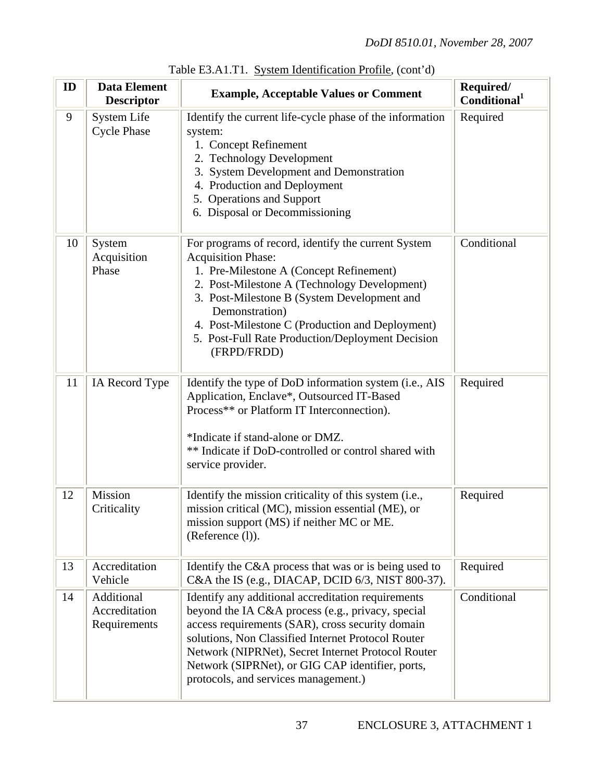| ID | <b>Data Element</b><br><b>Descriptor</b>    | <b>Example, Acceptable Values or Comment</b>                                                                                                                                                                                                                                                                                                                        | Required/<br>Conditional <sup>1</sup> |  |  |
|----|---------------------------------------------|---------------------------------------------------------------------------------------------------------------------------------------------------------------------------------------------------------------------------------------------------------------------------------------------------------------------------------------------------------------------|---------------------------------------|--|--|
| 9  | <b>System Life</b><br><b>Cycle Phase</b>    | Identify the current life-cycle phase of the information<br>system:<br>1. Concept Refinement<br>2. Technology Development<br>3. System Development and Demonstration<br>4. Production and Deployment<br>5. Operations and Support<br>6. Disposal or Decommissioning                                                                                                 | Required                              |  |  |
| 10 | System<br>Acquisition<br>Phase              | For programs of record, identify the current System<br><b>Acquisition Phase:</b><br>1. Pre-Milestone A (Concept Refinement)<br>2. Post-Milestone A (Technology Development)<br>3. Post-Milestone B (System Development and<br>Demonstration)<br>4. Post-Milestone C (Production and Deployment)<br>5. Post-Full Rate Production/Deployment Decision<br>(FRPD/FRDD)  | Conditional                           |  |  |
| 11 | IA Record Type                              | Identify the type of DoD information system (i.e., AIS<br>Application, Enclave*, Outsourced IT-Based<br>Process** or Platform IT Interconnection).<br>*Indicate if stand-alone or DMZ.<br>** Indicate if DoD-controlled or control shared with<br>service provider.                                                                                                 | Required                              |  |  |
| 12 | Mission<br>Criticality                      | Identify the mission criticality of this system (i.e.,<br>mission critical (MC), mission essential (ME), or<br>mission support (MS) if neither MC or ME.<br>(Reference (l)).                                                                                                                                                                                        | Required                              |  |  |
| 13 | Accreditation<br>Vehicle                    | Identify the C&A process that was or is being used to<br>C&A the IS (e.g., DIACAP, DCID 6/3, NIST 800-37).                                                                                                                                                                                                                                                          | Required                              |  |  |
| 14 | Additional<br>Accreditation<br>Requirements | Identify any additional accreditation requirements<br>beyond the IA C&A process (e.g., privacy, special<br>access requirements (SAR), cross security domain<br>solutions, Non Classified Internet Protocol Router<br>Network (NIPRNet), Secret Internet Protocol Router<br>Network (SIPRNet), or GIG CAP identifier, ports,<br>protocols, and services management.) | Conditional                           |  |  |

Table E3.A1.T1. System Identification Profile, (cont'd)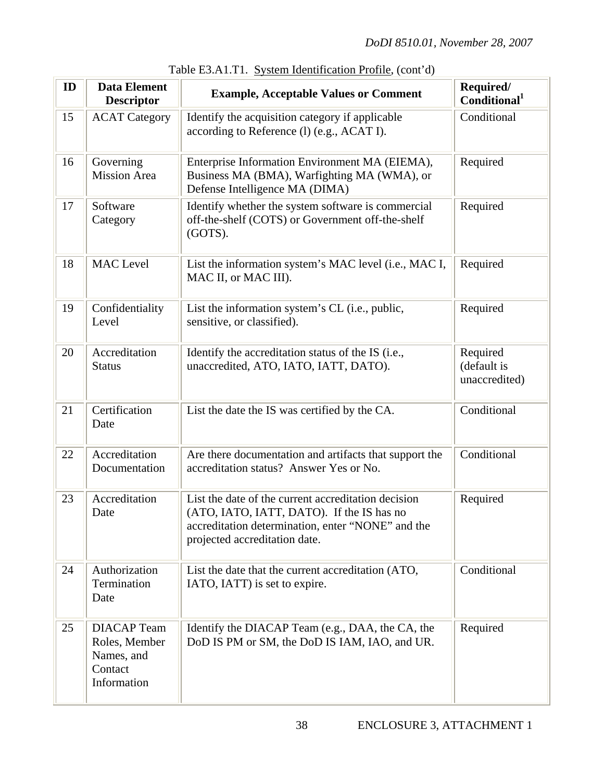| ID | <b>Data Element</b><br><b>Descriptor</b>                                    | <b>Example, Acceptable Values or Comment</b>                                                                                                                                           | Required/<br>Conditional <sup>1</sup>    |  |
|----|-----------------------------------------------------------------------------|----------------------------------------------------------------------------------------------------------------------------------------------------------------------------------------|------------------------------------------|--|
| 15 | <b>ACAT Category</b>                                                        | Identify the acquisition category if applicable<br>according to Reference (l) (e.g., ACAT I).                                                                                          | Conditional                              |  |
| 16 | Governing<br><b>Mission Area</b>                                            | Enterprise Information Environment MA (EIEMA),<br>Business MA (BMA), Warfighting MA (WMA), or<br>Defense Intelligence MA (DIMA)                                                        | Required                                 |  |
| 17 | Software<br>Category                                                        | Identify whether the system software is commercial<br>off-the-shelf (COTS) or Government off-the-shelf<br>(GOTS).                                                                      | Required                                 |  |
| 18 | <b>MAC</b> Level                                                            | List the information system's MAC level (i.e., MAC I,<br>MAC II, or MAC III).                                                                                                          | Required                                 |  |
| 19 | Confidentiality<br>Level                                                    | List the information system's CL (i.e., public,<br>sensitive, or classified).                                                                                                          | Required                                 |  |
| 20 | Accreditation<br><b>Status</b>                                              | Identify the accreditation status of the IS (i.e.,<br>unaccredited, ATO, IATO, IATT, DATO).                                                                                            | Required<br>(default is<br>unaccredited) |  |
| 21 | Certification<br>Date                                                       | List the date the IS was certified by the CA.                                                                                                                                          | Conditional                              |  |
| 22 | Accreditation<br>Documentation                                              | Are there documentation and artifacts that support the<br>accreditation status? Answer Yes or No.                                                                                      | Conditional                              |  |
| 23 | Accreditation<br>Date                                                       | List the date of the current accreditation decision<br>(ATO, IATO, IATT, DATO). If the IS has no<br>accreditation determination, enter "NONE" and the<br>projected accreditation date. | Required                                 |  |
| 24 | Authorization<br>Termination<br>Date                                        | List the date that the current accreditation (ATO,<br>IATO, IATT) is set to expire.                                                                                                    | Conditional                              |  |
| 25 | <b>DIACAP</b> Team<br>Roles, Member<br>Names, and<br>Contact<br>Information | Identify the DIACAP Team (e.g., DAA, the CA, the<br>DoD IS PM or SM, the DoD IS IAM, IAO, and UR.                                                                                      | Required                                 |  |

| Table E3.A1.T1. System Identification Profile, (cont'd) |
|---------------------------------------------------------|
|---------------------------------------------------------|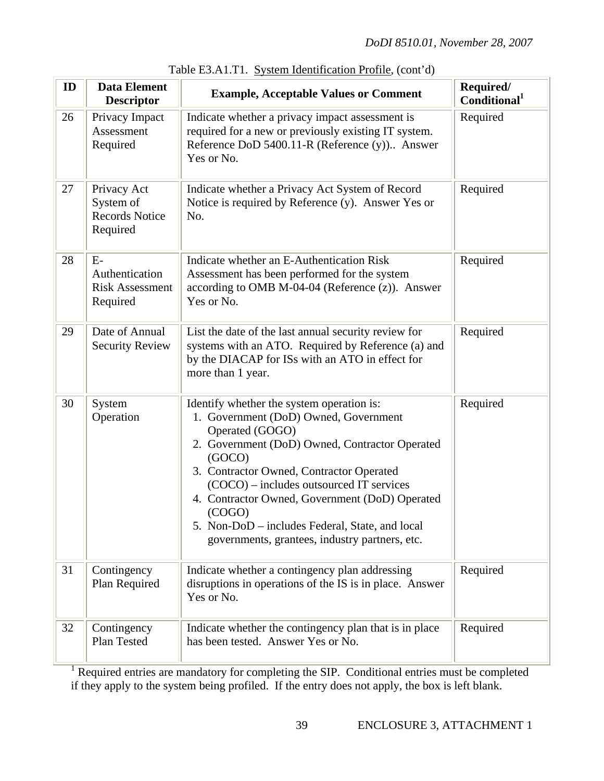| ID | <b>Data Element</b><br><b>Descriptor</b>                      | <b>Example, Acceptable Values or Comment</b>                                                                                                                                                                                                                                                                                                                                                                               | Required/<br>Conditional <sup>1</sup> |  |
|----|---------------------------------------------------------------|----------------------------------------------------------------------------------------------------------------------------------------------------------------------------------------------------------------------------------------------------------------------------------------------------------------------------------------------------------------------------------------------------------------------------|---------------------------------------|--|
| 26 | Privacy Impact<br>Assessment<br>Required                      | Indicate whether a privacy impact assessment is<br>required for a new or previously existing IT system.<br>Reference DoD 5400.11-R (Reference (y)) Answer<br>Yes or No.                                                                                                                                                                                                                                                    | Required                              |  |
| 27 | Privacy Act<br>System of<br><b>Records Notice</b><br>Required | Indicate whether a Privacy Act System of Record<br>Notice is required by Reference (y). Answer Yes or<br>No.                                                                                                                                                                                                                                                                                                               | Required                              |  |
| 28 | $E-$<br>Authentication<br><b>Risk Assessment</b><br>Required  | Indicate whether an E-Authentication Risk<br>Assessment has been performed for the system<br>according to OMB M-04-04 (Reference $(z)$ ). Answer<br>Yes or No.                                                                                                                                                                                                                                                             | Required                              |  |
| 29 | Date of Annual<br><b>Security Review</b>                      | List the date of the last annual security review for<br>systems with an ATO. Required by Reference (a) and<br>by the DIACAP for ISs with an ATO in effect for<br>more than 1 year.                                                                                                                                                                                                                                         | Required                              |  |
| 30 | System<br>Operation                                           | Identify whether the system operation is:<br>1. Government (DoD) Owned, Government<br>Operated (GOGO)<br>2. Government (DoD) Owned, Contractor Operated<br>(GOCO)<br>3. Contractor Owned, Contractor Operated<br>(COCO) – includes outsourced IT services<br>4. Contractor Owned, Government (DoD) Operated<br>(COGO)<br>5. Non-DoD – includes Federal, State, and local<br>governments, grantees, industry partners, etc. | Required                              |  |
| 31 | Contingency<br>Plan Required                                  | Indicate whether a contingency plan addressing<br>disruptions in operations of the IS is in place. Answer<br>Yes or No.                                                                                                                                                                                                                                                                                                    | Required                              |  |
| 32 | Contingency<br>Plan Tested                                    | Indicate whether the contingency plan that is in place<br>has been tested. Answer Yes or No.                                                                                                                                                                                                                                                                                                                               | Required                              |  |

|  | Table E3.A1.T1. System Identification Profile, (cont'd) |  |
|--|---------------------------------------------------------|--|
|  |                                                         |  |

<sup>1</sup> Required entries are mandatory for completing the SIP. Conditional entries must be completed if they apply to the system being profiled. If the entry does not apply, the box is left blank.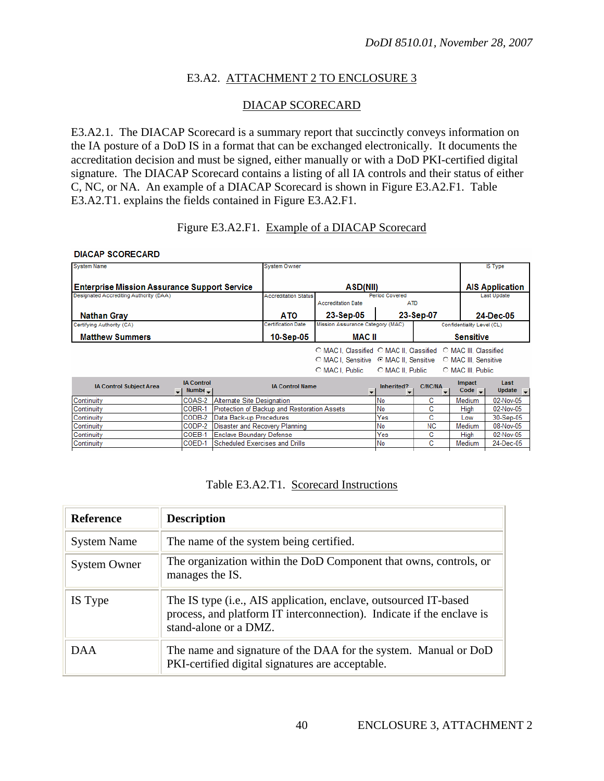## E3.A2. ATTACHMENT 2 TO ENCLOSURE 3

## DIACAP SCORECARD

E3.A2.1. The DIACAP Scorecard is a summary report that succinctly conveys information on the IA posture of a DoD IS in a format that can be exchanged electronically. It documents the accreditation decision and must be signed, either manually or with a DoD PKI-certified digital signature. The DIACAP Scorecard contains a listing of all IA controls and their status of either C, NC, or NA. An example of a DIACAP Scorecard is shown in Figure E3.A2.F1. Table E3.A2.T1. explains the fields contained in Figure E3.A2.F1.

#### Figure E3.A2.F1. Example of a DIACAP Scorecard

#### **DIACAP SCORECARD**

| <b>System Name</b>                                  |                                   |                                       | <b>System Owner</b>                         |                                                                |                              |                                |                               | IS Type                      |
|-----------------------------------------------------|-----------------------------------|---------------------------------------|---------------------------------------------|----------------------------------------------------------------|------------------------------|--------------------------------|-------------------------------|------------------------------|
| <b>Enterprise Mission Assurance Support Service</b> |                                   |                                       |                                             | ASD(NII)                                                       |                              |                                |                               | <b>AIS Application</b>       |
| Designated Accrediting Authority (DAA)              |                                   |                                       | <b>Accreditation Status</b>                 | <b>Accreditation Date</b>                                      | Period Covered<br><b>ATD</b> |                                |                               | Last Update                  |
| <b>Nathan Gray</b>                                  |                                   |                                       | <b>ATO</b>                                  | 23-Sep-05                                                      |                              | 23-Sep-07                      |                               | 24-Dec-05                    |
| Certifying Authority (CA)                           |                                   |                                       | <b>Certification Date</b>                   | Mission Assurance Category (MAC)                               |                              |                                | Confidentiality Level (CL)    |                              |
| <b>Matthew Summers</b>                              |                                   |                                       |                                             |                                                                | MAC II                       |                                | <b>Sensitive</b>              |                              |
|                                                     |                                   |                                       |                                             | O MAC I. Classified O MAC II. Classified O MAC III. Classified |                              |                                |                               |                              |
|                                                     |                                   |                                       |                                             |                                                                |                              |                                |                               |                              |
|                                                     |                                   |                                       |                                             | C MAC I. Public                                                | C MAC II, Public             |                                | <b>C</b> MAC III, Public      |                              |
| <b>IA Control Subject Area</b><br>$\mathbf{I}$      | <b>IA Control</b><br>$Number - 1$ |                                       | <b>IA Control Name</b>                      | $\mathbf{r}$                                                   | Inherited?                   | <b>C/NC/NA</b><br>$\mathbf{r}$ | <b>Impact</b><br>Code $\vert$ | Last<br>Update $\rightarrow$ |
| Continuity                                          | COAS-2                            | Alternate Site Designation            |                                             |                                                                | No                           | c                              | Medium                        | 02-Nov-05                    |
| Continuity                                          | COBR-1                            |                                       | Protection of Backup and Restoration Assets |                                                                | No                           | с                              | High                          | 02-Nov-05                    |
| Continuity                                          | CODB-2                            | Data Back-up Procedures               |                                             |                                                                | Yes                          | c                              | l ow                          | 30-Sep-05                    |
| Continuity                                          | CODP-2                            | Disaster and Recovery Planning        |                                             |                                                                | No                           | <b>NC</b>                      | Medium                        | 08-Nov-05                    |
| Continuity                                          | COEB-1                            | Yes<br>с<br>Enclave Boundary Defense  |                                             |                                                                |                              | High                           | 02-Nov-05                     |                              |
| Continuity                                          | COED-1                            | <b>Scheduled Exercises and Drills</b> |                                             |                                                                | No                           | c                              | Medium                        | 24-Dec-05                    |

#### Table E3.A2.T1. Scorecard Instructions

| <b>Reference</b>    | <b>Description</b>                                                                                                                                                 |
|---------------------|--------------------------------------------------------------------------------------------------------------------------------------------------------------------|
| <b>System Name</b>  | The name of the system being certified.                                                                                                                            |
| <b>System Owner</b> | The organization within the DoD Component that owns, controls, or<br>manages the IS.                                                                               |
| IS Type             | The IS type (i.e., AIS application, enclave, outsourced IT-based<br>process, and platform IT interconnection). Indicate if the enclave is<br>stand-alone or a DMZ. |
| DAA.                | The name and signature of the DAA for the system. Manual or DoD<br>PKI-certified digital signatures are acceptable.                                                |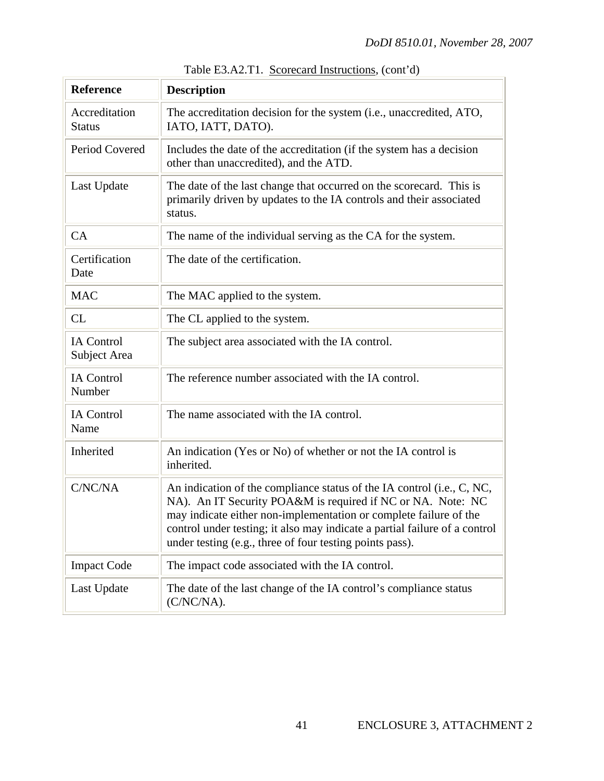| <b>Reference</b>                  | <b>Description</b>                                                                                                                                                                                                                                                                                                                                   |
|-----------------------------------|------------------------------------------------------------------------------------------------------------------------------------------------------------------------------------------------------------------------------------------------------------------------------------------------------------------------------------------------------|
| Accreditation<br><b>Status</b>    | The accreditation decision for the system (i.e., unaccredited, ATO,<br>IATO, IATT, DATO).                                                                                                                                                                                                                                                            |
| Period Covered                    | Includes the date of the accreditation (if the system has a decision<br>other than unaccredited), and the ATD.                                                                                                                                                                                                                                       |
| Last Update                       | The date of the last change that occurred on the scorecard. This is<br>primarily driven by updates to the IA controls and their associated<br>status.                                                                                                                                                                                                |
| CA                                | The name of the individual serving as the CA for the system.                                                                                                                                                                                                                                                                                         |
| Certification<br>Date             | The date of the certification.                                                                                                                                                                                                                                                                                                                       |
| <b>MAC</b>                        | The MAC applied to the system.                                                                                                                                                                                                                                                                                                                       |
| CL                                | The CL applied to the system.                                                                                                                                                                                                                                                                                                                        |
| <b>IA Control</b><br>Subject Area | The subject area associated with the IA control.                                                                                                                                                                                                                                                                                                     |
| <b>IA</b> Control<br>Number       | The reference number associated with the IA control.                                                                                                                                                                                                                                                                                                 |
| <b>IA Control</b><br>Name         | The name associated with the IA control.                                                                                                                                                                                                                                                                                                             |
| Inherited                         | An indication (Yes or No) of whether or not the IA control is<br>inherited.                                                                                                                                                                                                                                                                          |
| C/NC/NA                           | An indication of the compliance status of the IA control (i.e., C, NC,<br>NA). An IT Security POA&M is required if NC or NA. Note: NC<br>may indicate either non-implementation or complete failure of the<br>control under testing; it also may indicate a partial failure of a control<br>under testing (e.g., three of four testing points pass). |
| <b>Impact Code</b>                | The impact code associated with the IA control.                                                                                                                                                                                                                                                                                                      |
| Last Update                       | The date of the last change of the IA control's compliance status<br>$(C/NC/NA)$ .                                                                                                                                                                                                                                                                   |

Table E3.A2.T1. Scorecard Instructions, (cont'd)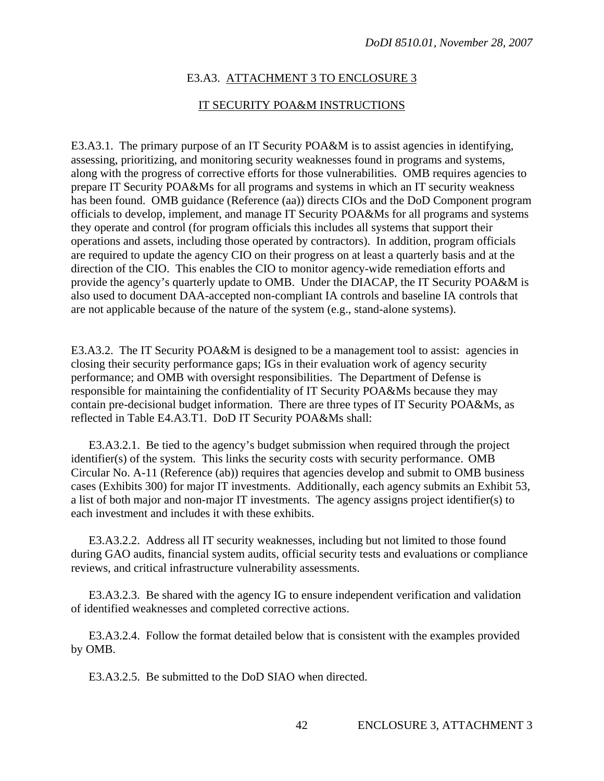#### E3.A3. ATTACHMENT 3 TO ENCLOSURE 3

#### IT SECURITY POA&M INSTRUCTIONS

E3.A3.1. The primary purpose of an IT Security POA&M is to assist agencies in identifying, assessing, prioritizing, and monitoring security weaknesses found in programs and systems, along with the progress of corrective efforts for those vulnerabilities. OMB requires agencies to prepare IT Security POA&Ms for all programs and systems in which an IT security weakness has been found. OMB guidance (Reference (aa)) directs CIOs and the DoD Component program officials to develop, implement, and manage IT Security POA&Ms for all programs and systems they operate and control (for program officials this includes all systems that support their operations and assets, including those operated by contractors). In addition, program officials are required to update the agency CIO on their progress on at least a quarterly basis and at the direction of the CIO. This enables the CIO to monitor agency-wide remediation efforts and provide the agency's quarterly update to OMB. Under the DIACAP, the IT Security POA&M is also used to document DAA-accepted non-compliant IA controls and baseline IA controls that are not applicable because of the nature of the system (e.g., stand-alone systems).

E3.A3.2. The IT Security POA&M is designed to be a management tool to assist: agencies in closing their security performance gaps; IGs in their evaluation work of agency security performance; and OMB with oversight responsibilities. The Department of Defense is responsible for maintaining the confidentiality of IT Security POA&Ms because they may contain pre-decisional budget information. There are three types of IT Security POA&Ms, as reflected in Table E4.A3.T1. DoD IT Security POA&Ms shall:

 E3.A3.2.1. Be tied to the agency's budget submission when required through the project identifier(s) of the system. This links the security costs with security performance. OMB Circular No. A-11 (Reference (ab)) requires that agencies develop and submit to OMB business cases (Exhibits 300) for major IT investments. Additionally, each agency submits an Exhibit 53, a list of both major and non-major IT investments. The agency assigns project identifier(s) to each investment and includes it with these exhibits.

 E3.A3.2.2. Address all IT security weaknesses, including but not limited to those found during GAO audits, financial system audits, official security tests and evaluations or compliance reviews, and critical infrastructure vulnerability assessments.

 E3.A3.2.3. Be shared with the agency IG to ensure independent verification and validation of identified weaknesses and completed corrective actions.

 E3.A3.2.4. Follow the format detailed below that is consistent with the examples provided by OMB.

E3.A3.2.5. Be submitted to the DoD SIAO when directed.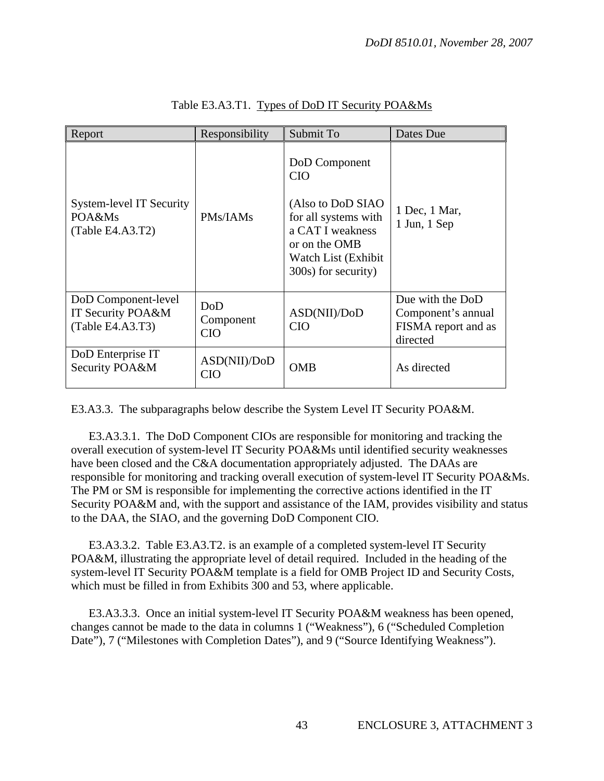| Responsibility<br>Report                                     |                                | Submit To                                                                                                                                                    | Dates Due                                                                 |  |
|--------------------------------------------------------------|--------------------------------|--------------------------------------------------------------------------------------------------------------------------------------------------------------|---------------------------------------------------------------------------|--|
| System-level IT Security<br>POA&Ms<br>(Table E4.A3.T2)       | PMs/IAMs                       | DoD Component<br><b>CIO</b><br>(Also to DoD SIAO<br>for all systems with<br>a CAT I weakness<br>or on the OMB<br>Watch List (Exhibit)<br>300s) for security) | 1 Dec, 1 Mar,<br>$1$ Jun, $1$ Sep                                         |  |
| DoD Component-level<br>IT Security POA&M<br>(Table E4.A3.T3) | DoD<br>Component<br><b>CIO</b> | ASD(NII)/DoD<br><b>CIO</b>                                                                                                                                   | Due with the DoD<br>Component's annual<br>FISMA report and as<br>directed |  |
| DoD Enterprise IT<br>Security POA&M                          | ASD(NII) / DoD<br><b>CIO</b>   | <b>OMB</b>                                                                                                                                                   | As directed                                                               |  |

Table E3.A3.T1. Types of DoD IT Security POA&Ms

E3.A3.3. The subparagraphs below describe the System Level IT Security POA&M.

 E3.A3.3.1. The DoD Component CIOs are responsible for monitoring and tracking the overall execution of system-level IT Security POA&Ms until identified security weaknesses have been closed and the C&A documentation appropriately adjusted. The DAAs are responsible for monitoring and tracking overall execution of system-level IT Security POA&Ms. The PM or SM is responsible for implementing the corrective actions identified in the IT Security POA&M and, with the support and assistance of the IAM, provides visibility and status to the DAA, the SIAO, and the governing DoD Component CIO.

 E3.A3.3.2. Table E3.A3.T2. is an example of a completed system-level IT Security POA&M, illustrating the appropriate level of detail required. Included in the heading of the system-level IT Security POA&M template is a field for OMB Project ID and Security Costs, which must be filled in from Exhibits 300 and 53, where applicable.

 E3.A3.3.3. Once an initial system-level IT Security POA&M weakness has been opened, changes cannot be made to the data in columns 1 ("Weakness"), 6 ("Scheduled Completion Date"), 7 ("Milestones with Completion Dates"), and 9 ("Source Identifying Weakness").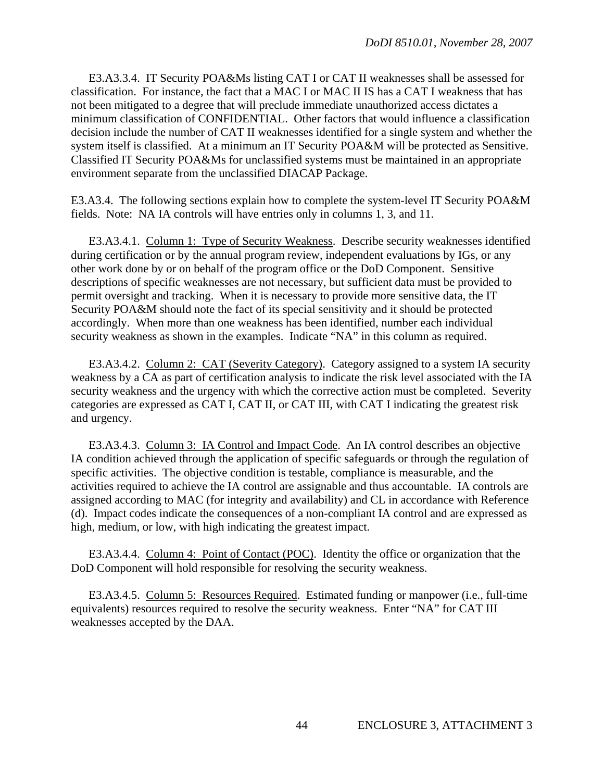E3.A3.3.4. IT Security POA&Ms listing CAT I or CAT II weaknesses shall be assessed for classification. For instance, the fact that a MAC I or MAC II IS has a CAT I weakness that has not been mitigated to a degree that will preclude immediate unauthorized access dictates a minimum classification of CONFIDENTIAL. Other factors that would influence a classification decision include the number of CAT II weaknesses identified for a single system and whether the system itself is classified. At a minimum an IT Security POA&M will be protected as Sensitive. Classified IT Security POA&Ms for unclassified systems must be maintained in an appropriate environment separate from the unclassified DIACAP Package.

E3.A3.4. The following sections explain how to complete the system-level IT Security POA&M fields. Note: NA IA controls will have entries only in columns 1, 3, and 11.

 E3.A3.4.1. Column 1: Type of Security Weakness. Describe security weaknesses identified during certification or by the annual program review, independent evaluations by IGs, or any other work done by or on behalf of the program office or the DoD Component. Sensitive descriptions of specific weaknesses are not necessary, but sufficient data must be provided to permit oversight and tracking. When it is necessary to provide more sensitive data, the IT Security POA&M should note the fact of its special sensitivity and it should be protected accordingly. When more than one weakness has been identified, number each individual security weakness as shown in the examples. Indicate "NA" in this column as required.

 E3.A3.4.2. Column 2: CAT (Severity Category). Category assigned to a system IA security weakness by a CA as part of certification analysis to indicate the risk level associated with the IA security weakness and the urgency with which the corrective action must be completed. Severity categories are expressed as CAT I, CAT II, or CAT III, with CAT I indicating the greatest risk and urgency.

 E3.A3.4.3. Column 3: IA Control and Impact Code. An IA control describes an objective IA condition achieved through the application of specific safeguards or through the regulation of specific activities. The objective condition is testable, compliance is measurable, and the activities required to achieve the IA control are assignable and thus accountable. IA controls are assigned according to MAC (for integrity and availability) and CL in accordance with Reference (d). Impact codes indicate the consequences of a non-compliant IA control and are expressed as high, medium, or low, with high indicating the greatest impact.

 E3.A3.4.4. Column 4: Point of Contact (POC). Identity the office or organization that the DoD Component will hold responsible for resolving the security weakness.

 E3.A3.4.5. Column 5: Resources Required. Estimated funding or manpower (i.e., full-time equivalents) resources required to resolve the security weakness. Enter "NA" for CAT III weaknesses accepted by the DAA.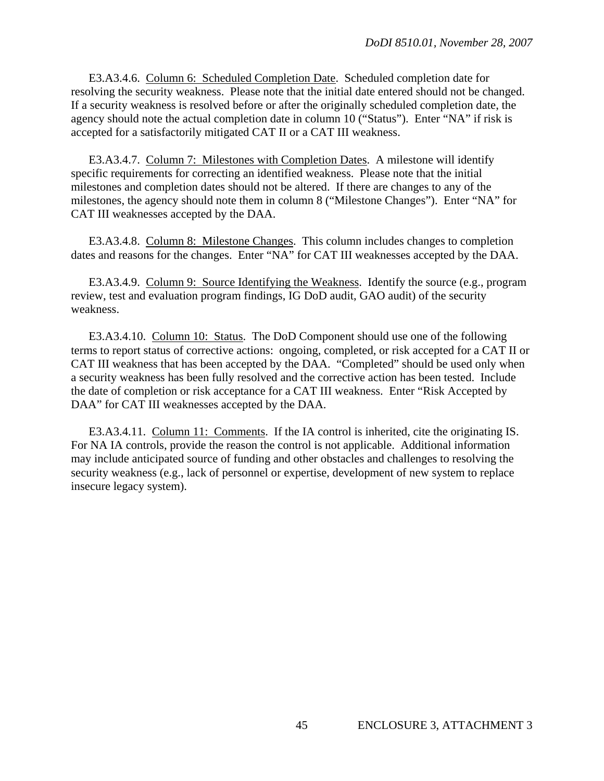E3.A3.4.6. Column 6: Scheduled Completion Date. Scheduled completion date for resolving the security weakness. Please note that the initial date entered should not be changed. If a security weakness is resolved before or after the originally scheduled completion date, the agency should note the actual completion date in column 10 ("Status"). Enter "NA" if risk is accepted for a satisfactorily mitigated CAT II or a CAT III weakness.

 E3.A3.4.7. Column 7: Milestones with Completion Dates. A milestone will identify specific requirements for correcting an identified weakness. Please note that the initial milestones and completion dates should not be altered. If there are changes to any of the milestones, the agency should note them in column 8 ("Milestone Changes"). Enter "NA" for CAT III weaknesses accepted by the DAA.

 E3.A3.4.8. Column 8: Milestone Changes. This column includes changes to completion dates and reasons for the changes. Enter "NA" for CAT III weaknesses accepted by the DAA.

 E3.A3.4.9. Column 9: Source Identifying the Weakness. Identify the source (e.g., program review, test and evaluation program findings, IG DoD audit, GAO audit) of the security weakness.

 E3.A3.4.10. Column 10: Status. The DoD Component should use one of the following terms to report status of corrective actions: ongoing, completed, or risk accepted for a CAT II or CAT III weakness that has been accepted by the DAA. "Completed" should be used only when a security weakness has been fully resolved and the corrective action has been tested. Include the date of completion or risk acceptance for a CAT III weakness. Enter "Risk Accepted by DAA" for CAT III weaknesses accepted by the DAA.

E3.A3.4.11. Column 11: Comments. If the IA control is inherited, cite the originating IS. For NA IA controls, provide the reason the control is not applicable. Additional information may include anticipated source of funding and other obstacles and challenges to resolving the security weakness (e.g., lack of personnel or expertise, development of new system to replace insecure legacy system).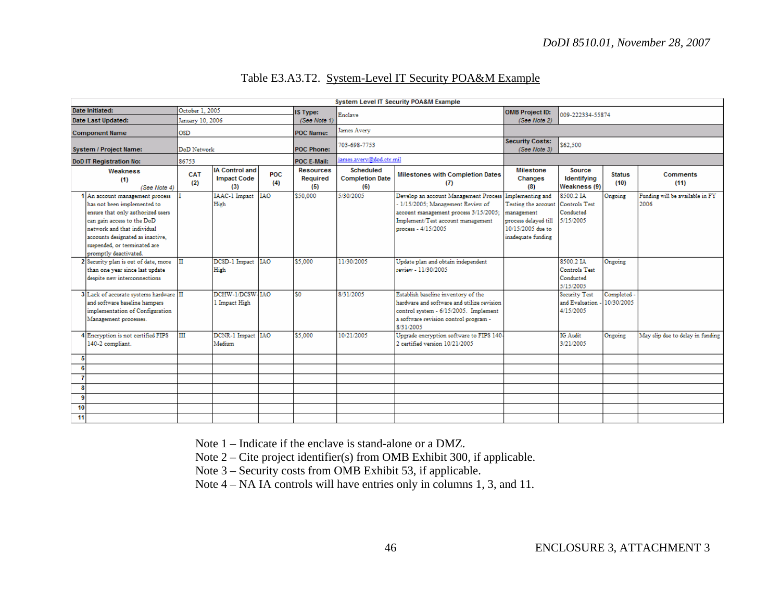## Table E3.A3.T2. System-Level IT Security POA&M Example

| System Level IT Security POA&M Example                                                                                                                                                                                                                        |                  |                                                    |                   |                                     |                                            |                                                                                                                                                                                                  |                                                                                                                    |                                                       |                           |                                         |
|---------------------------------------------------------------------------------------------------------------------------------------------------------------------------------------------------------------------------------------------------------------|------------------|----------------------------------------------------|-------------------|-------------------------------------|--------------------------------------------|--------------------------------------------------------------------------------------------------------------------------------------------------------------------------------------------------|--------------------------------------------------------------------------------------------------------------------|-------------------------------------------------------|---------------------------|-----------------------------------------|
| Date Initiated:                                                                                                                                                                                                                                               | October 1, 2005  |                                                    | <b>IS Type:</b>   | Enclave                             |                                            | OMB Project ID:<br>009-222334-55874                                                                                                                                                              |                                                                                                                    |                                                       |                           |                                         |
| <b>Date Last Updated:</b>                                                                                                                                                                                                                                     | January 10, 2006 |                                                    |                   | (See Note 1)                        |                                            |                                                                                                                                                                                                  | (See Note 2)                                                                                                       |                                                       |                           |                                         |
| <b>Component Name</b>                                                                                                                                                                                                                                         | OSD              |                                                    |                   | <b>POC Name:</b>                    | James Avery                                |                                                                                                                                                                                                  |                                                                                                                    |                                                       |                           |                                         |
| System / Project Name:                                                                                                                                                                                                                                        | DoD Network      |                                                    |                   | POC Phone:                          | 703-698-7753                               |                                                                                                                                                                                                  | <b>Security Costs:</b><br>(See Note 3)                                                                             | \$62,500                                              |                           |                                         |
| <b>DoD IT Registration No:</b>                                                                                                                                                                                                                                | 86753            |                                                    |                   | <b>POC E-Mail:</b>                  | james.avery@dod.ctr.mil                    |                                                                                                                                                                                                  |                                                                                                                    |                                                       |                           |                                         |
| Weakness<br>(1)<br>(See Note 4)                                                                                                                                                                                                                               | CAT<br>(2)       | <b>IA Control and</b><br><b>Impact Code</b><br>(3) | <b>POC</b><br>(4) | <b>Resources</b><br>Required<br>(5) | Scheduled<br><b>Completion Date</b><br>(6) | <b>Milestones with Completion Dates</b><br>(7)                                                                                                                                                   | Milestone<br><b>Changes</b><br>(8)                                                                                 | Source<br>Identifying<br>Weakness (9)                 | <b>Status</b><br>(10)     | <b>Comments</b><br>(11)                 |
| 1 An account management process<br>has not been implemented to<br>ensure that only authorized users<br>can gain access to the DoD<br>network and that individual<br>accounts designated as inactive.<br>suspended, or terminated are<br>promptly deactivated. |                  | IAAC-1 Impact IAO<br>High                          |                   | \$50,000                            | 5/30/2005                                  | Develop an account Management Process Implementing and<br>- 1/15/2005; Management Review of<br>account management process 3/15/2005;<br>Implement/Test account management<br>process - 4/15/2005 | Testing the account Controls Test<br>management<br>process delaved till<br>10/15/2005 due to<br>inadequate funding | 8500.2 IA<br>Conducted<br>5/15/2005                   | Ongoing                   | Funding will be available in FY<br>2006 |
| 2 Security plan is out of date, more<br>than one year since last update<br>despite new interconnections                                                                                                                                                       |                  | DCSD-1 Impact   IAO<br>High                        |                   | \$5,000                             | 11/30/2005                                 | Update plan and obtain independent<br>review - 11/30/2005                                                                                                                                        |                                                                                                                    | 8500.2 IA<br>Controls Test<br>Conducted<br>5/15/2005  | Ongoing                   |                                         |
| 3 Lack of accurate systems hardware II<br>and software baseline hampers<br>implementation of Configuration<br>Management processes.                                                                                                                           |                  | DCHW-1/DCSW-IAO<br>1 Impact High                   |                   | \$0                                 | 8/31/2005                                  | Establish baseline inventory of the<br>hardware and software and utilize revision<br>control system - 6/15/2005. Implement<br>a software revision control program -<br>8/31/2005                 |                                                                                                                    | <b>Security Test</b><br>and Evaluation -<br>4/15/2005 | Completed -<br>10/30/2005 |                                         |
| 4 Encryption is not certified FIPS<br>140-2 compliant.                                                                                                                                                                                                        | ш                | DCNR-1 Impact IAO<br>Medium                        |                   | \$5,000                             | 10/21/2005                                 | Upgrade encryption software to FIPS 140-<br>2 certified version 10/21/2005                                                                                                                       |                                                                                                                    | IG Audit<br>3/21/2005                                 | Ongoing                   | May slip due to delay in funding        |
| 5                                                                                                                                                                                                                                                             |                  |                                                    |                   |                                     |                                            |                                                                                                                                                                                                  |                                                                                                                    |                                                       |                           |                                         |
| 6                                                                                                                                                                                                                                                             |                  |                                                    |                   |                                     |                                            |                                                                                                                                                                                                  |                                                                                                                    |                                                       |                           |                                         |
|                                                                                                                                                                                                                                                               |                  |                                                    |                   |                                     |                                            |                                                                                                                                                                                                  |                                                                                                                    |                                                       |                           |                                         |
| 8                                                                                                                                                                                                                                                             |                  |                                                    |                   |                                     |                                            |                                                                                                                                                                                                  |                                                                                                                    |                                                       |                           |                                         |
| 9                                                                                                                                                                                                                                                             |                  |                                                    |                   |                                     |                                            |                                                                                                                                                                                                  |                                                                                                                    |                                                       |                           |                                         |
| 10                                                                                                                                                                                                                                                            |                  |                                                    |                   |                                     |                                            |                                                                                                                                                                                                  |                                                                                                                    |                                                       |                           |                                         |
| 11                                                                                                                                                                                                                                                            |                  |                                                    |                   |                                     |                                            |                                                                                                                                                                                                  |                                                                                                                    |                                                       |                           |                                         |

Note 1 – Indicate if the enclave is stand-alone or a DMZ.

Note 2 – Cite project identifier(s) from OMB Exhibit 300, if applicable.

Note 3 – Security costs from OMB Exhibit 53, if applicable.

Note 4 – NA IA controls will have entries only in columns 1, 3, and 11.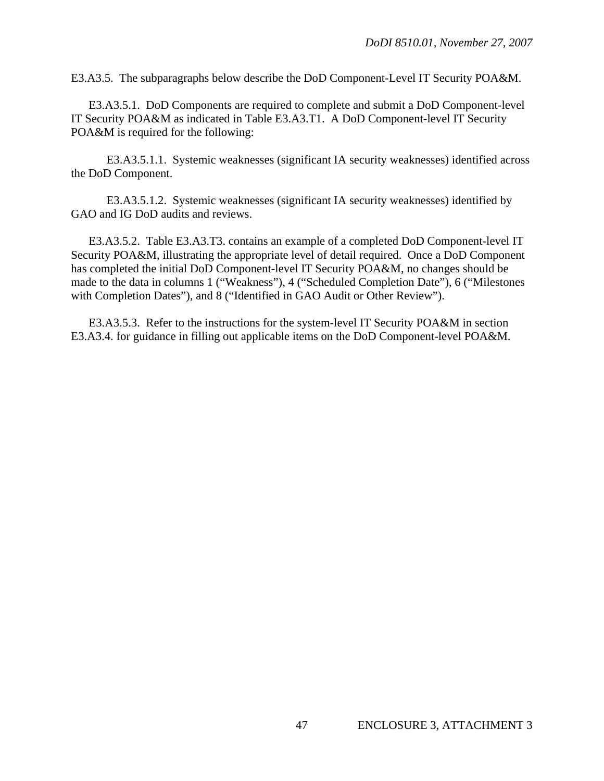E3.A3.5. The subparagraphs below describe the DoD Component-Level IT Security POA&M.

 E3.A3.5.1. DoD Components are required to complete and submit a DoD Component-level IT Security POA&M as indicated in Table E3.A3.T1. A DoD Component-level IT Security POA&M is required for the following:

 E3.A3.5.1.1. Systemic weaknesses (significant IA security weaknesses) identified across the DoD Component.

 E3.A3.5.1.2. Systemic weaknesses (significant IA security weaknesses) identified by GAO and IG DoD audits and reviews.

 E3.A3.5.2. Table E3.A3.T3. contains an example of a completed DoD Component-level IT Security POA&M, illustrating the appropriate level of detail required. Once a DoD Component has completed the initial DoD Component-level IT Security POA&M, no changes should be made to the data in columns 1 ("Weakness"), 4 ("Scheduled Completion Date"), 6 ("Milestones with Completion Dates"), and 8 ("Identified in GAO Audit or Other Review").

 E3.A3.5.3. Refer to the instructions for the system-level IT Security POA&M in section E3.A3.4. for guidance in filling out applicable items on the DoD Component-level POA&M.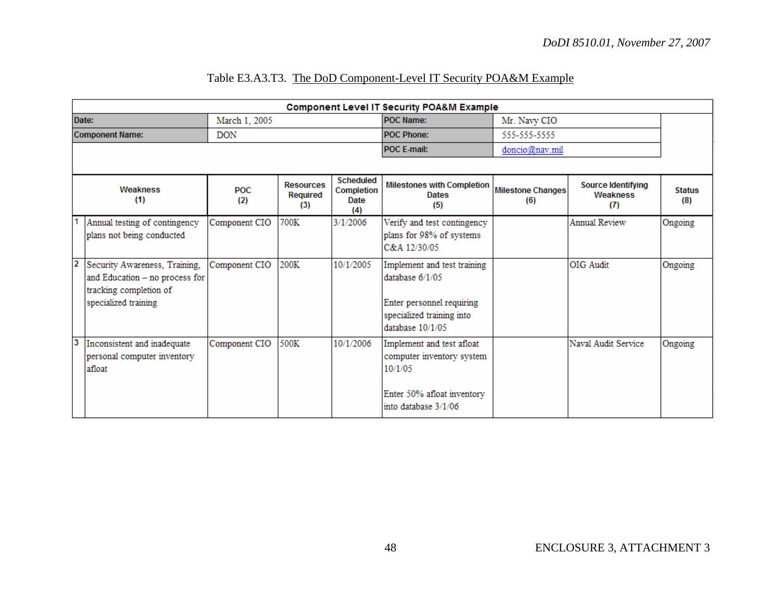|--|

|                         | <b>Component Level IT Security POA&amp;M Example</b>                                                              |               |                                     |                                               |                                                                                                                                |                          |                                              |                      |
|-------------------------|-------------------------------------------------------------------------------------------------------------------|---------------|-------------------------------------|-----------------------------------------------|--------------------------------------------------------------------------------------------------------------------------------|--------------------------|----------------------------------------------|----------------------|
|                         | Date:                                                                                                             | March 1, 2005 |                                     |                                               | <b>POC Name:</b>                                                                                                               | Mr. Navy CIO             |                                              |                      |
|                         | <b>Component Name:</b>                                                                                            | <b>DON</b>    |                                     |                                               | <b>POC Phone:</b>                                                                                                              | 555-555-5555             |                                              |                      |
|                         |                                                                                                                   |               |                                     |                                               | POC E-mail:                                                                                                                    | doncio@nav.mil           |                                              |                      |
|                         |                                                                                                                   |               |                                     |                                               |                                                                                                                                |                          |                                              |                      |
|                         | <b>Weakness</b><br>(1)                                                                                            | POC.<br>(2)   | <b>Resources</b><br>Required<br>(3) | <b>Scheduled</b><br>Completion<br>Date<br>(4) | <b>Milestones with Completion</b><br><b>Dates</b><br>(5)                                                                       | Milestone Changes<br>(6) | <b>Source Identifying</b><br>Weakness<br>(7) | <b>Status</b><br>(8) |
|                         | Annual testing of contingency<br>plans not being conducted                                                        | Component CIO | 700K                                | 3/1/2006                                      | Verify and test contingency<br>plans for 98% of systems<br>C&A 12/30/05                                                        |                          | <b>Annual Review</b>                         | Ongoing              |
| $\overline{2}$          | Security Awareness, Training,<br>and Education - no process for<br>tracking completion of<br>specialized training | Component CIO | 200K                                | 10/1/2005                                     | Implement and test training<br>database $6/1/05$<br>Enter personnel requiring<br>specialized training into<br>database 10/1/05 |                          | OIG Audit                                    | Ongoing              |
| $\overline{\mathbf{3}}$ | Inconsistent and inadequate<br>personal computer inventory<br>afloat                                              | Component CIO | 500K                                | 10/1/2006                                     | Implement and test afloat<br>computer inventory system<br>10/1/05<br>Enter 50% afloat inventory<br>into database 3/1/06        |                          | Naval Audit Service                          | Ongoing              |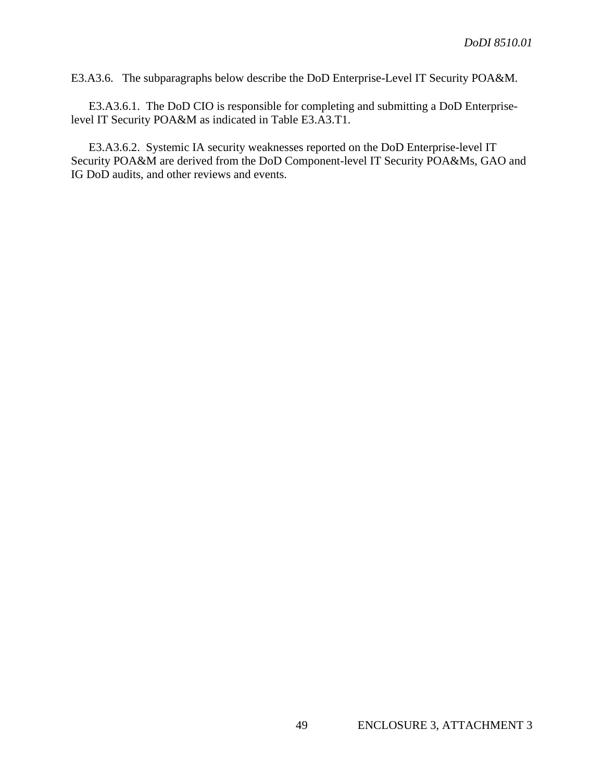E3.A3.6. The subparagraphs below describe the DoD Enterprise-Level IT Security POA&M.

 E3.A3.6.1. The DoD CIO is responsible for completing and submitting a DoD Enterpriselevel IT Security POA&M as indicated in Table E3.A3.T1.

 E3.A3.6.2. Systemic IA security weaknesses reported on the DoD Enterprise-level IT Security POA&M are derived from the DoD Component-level IT Security POA&Ms, GAO and IG DoD audits, and other reviews and events.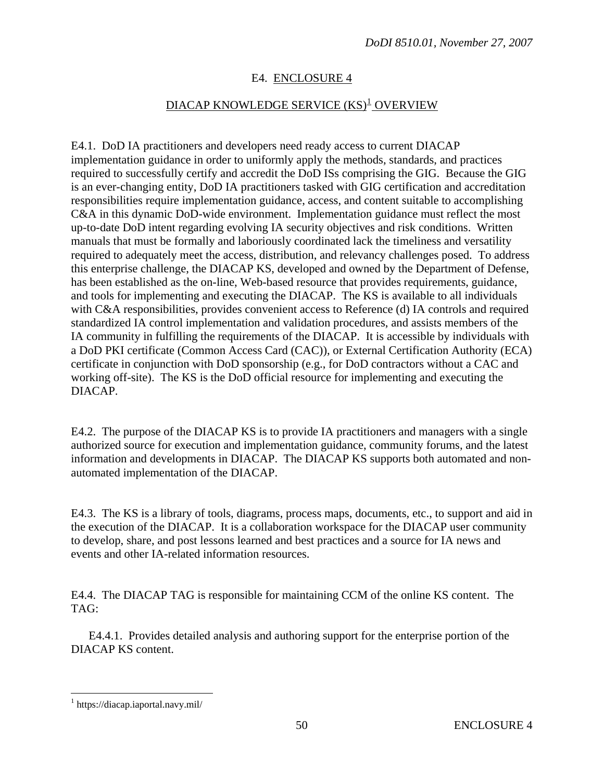# E4. ENCLOSURE 4

# <u>DIACAP KNOWLEDGE SERVICE (KS)<sup>[1](#page-49-0)</sup> OVERVIEW</u>

<span id="page-49-0"></span>E4.1. DoD IA practitioners and developers need ready access to current DIACAP implementation guidance in order to uniformly apply the methods, standards, and practices required to successfully certify and accredit the DoD ISs comprising the GIG. Because the GIG is an ever-changing entity, DoD IA practitioners tasked with GIG certification and accreditation responsibilities require implementation guidance, access, and content suitable to accomplishing C&A in this dynamic DoD-wide environment. Implementation guidance must reflect the most up-to-date DoD intent regarding evolving IA security objectives and risk conditions. Written manuals that must be formally and laboriously coordinated lack the timeliness and versatility required to adequately meet the access, distribution, and relevancy challenges posed. To address this enterprise challenge, the DIACAP KS, developed and owned by the Department of Defense, has been established as the on-line, Web-based resource that provides requirements, guidance, and tools for implementing and executing the DIACAP. The KS is available to all individuals with C&A responsibilities, provides convenient access to Reference (d) IA controls and required standardized IA control implementation and validation procedures, and assists members of the IA community in fulfilling the requirements of the DIACAP. It is accessible by individuals with a DoD PKI certificate (Common Access Card (CAC)), or External Certification Authority (ECA) certificate in conjunction with DoD sponsorship (e.g., for DoD contractors without a CAC and working off-site). The KS is the DoD official resource for implementing and executing the DIACAP.

E4.2. The purpose of the DIACAP KS is to provide IA practitioners and managers with a single authorized source for execution and implementation guidance, community forums, and the latest information and developments in DIACAP. The DIACAP KS supports both automated and nonautomated implementation of the DIACAP.

E4.3. The KS is a library of tools, diagrams, process maps, documents, etc., to support and aid in the execution of the DIACAP. It is a collaboration workspace for the DIACAP user community to develop, share, and post lessons learned and best practices and a source for IA news and events and other IA-related information resources.

E4.4. The DIACAP TAG is responsible for maintaining CCM of the online KS content. The TAG:

 E4.4.1. Provides detailed analysis and authoring support for the enterprise portion of the DIACAP KS content.

 $\overline{a}$ 

<sup>1</sup> https://diacap.iaportal.navy.mil/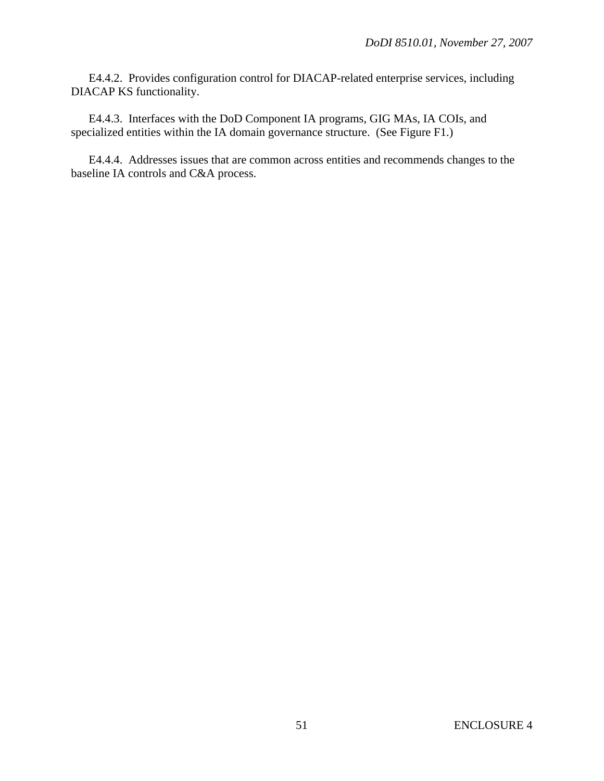E4.4.2. Provides configuration control for DIACAP-related enterprise services, including DIACAP KS functionality.

 E4.4.3. Interfaces with the DoD Component IA programs, GIG MAs, IA COIs, and specialized entities within the IA domain governance structure. (See Figure F1.)

 E4.4.4. Addresses issues that are common across entities and recommends changes to the baseline IA controls and C&A process.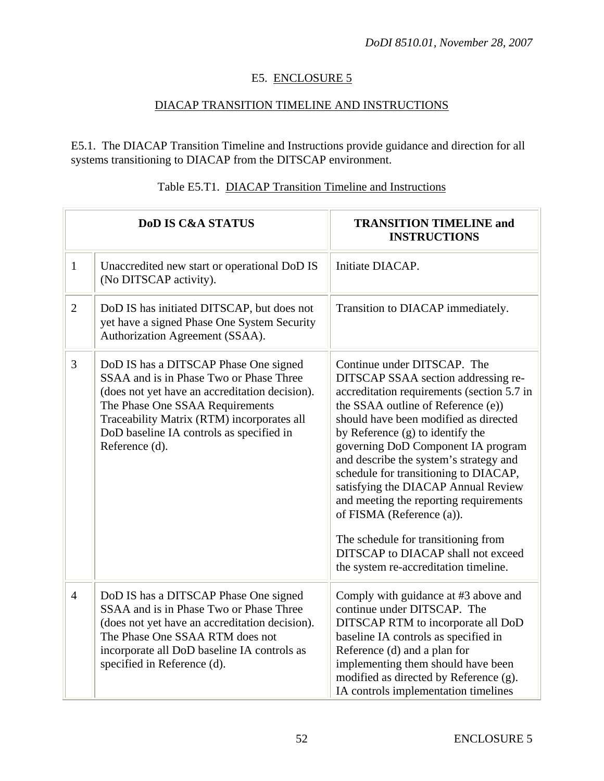# E5. ENCLOSURE 5

# DIACAP TRANSITION TIMELINE AND INSTRUCTIONS

E5.1. The DIACAP Transition Timeline and Instructions provide guidance and direction for all systems transitioning to DIACAP from the DITSCAP environment.

|                | <b>DoD IS C&amp;A STATUS</b>                                                                                                                                                                                                                                                      | <b>TRANSITION TIMELINE and</b><br><b>INSTRUCTIONS</b>                                                                                                                                                                                                                                                                                                                                                                                                                                                                                                                                            |  |  |
|----------------|-----------------------------------------------------------------------------------------------------------------------------------------------------------------------------------------------------------------------------------------------------------------------------------|--------------------------------------------------------------------------------------------------------------------------------------------------------------------------------------------------------------------------------------------------------------------------------------------------------------------------------------------------------------------------------------------------------------------------------------------------------------------------------------------------------------------------------------------------------------------------------------------------|--|--|
| $\mathbf{1}$   | Unaccredited new start or operational DoD IS<br>(No DITSCAP activity).                                                                                                                                                                                                            | Initiate DIACAP.                                                                                                                                                                                                                                                                                                                                                                                                                                                                                                                                                                                 |  |  |
| $\overline{2}$ | DoD IS has initiated DITSCAP, but does not<br>yet have a signed Phase One System Security<br>Authorization Agreement (SSAA).                                                                                                                                                      | Transition to DIACAP immediately.                                                                                                                                                                                                                                                                                                                                                                                                                                                                                                                                                                |  |  |
| 3              | DoD IS has a DITSCAP Phase One signed<br>SSAA and is in Phase Two or Phase Three<br>(does not yet have an accreditation decision).<br>The Phase One SSAA Requirements<br>Traceability Matrix (RTM) incorporates all<br>DoD baseline IA controls as specified in<br>Reference (d). | Continue under DITSCAP. The<br>DITSCAP SSAA section addressing re-<br>accreditation requirements (section 5.7 in<br>the SSAA outline of Reference (e))<br>should have been modified as directed<br>by Reference (g) to identify the<br>governing DoD Component IA program<br>and describe the system's strategy and<br>schedule for transitioning to DIACAP,<br>satisfying the DIACAP Annual Review<br>and meeting the reporting requirements<br>of FISMA (Reference (a)).<br>The schedule for transitioning from<br>DITSCAP to DIACAP shall not exceed<br>the system re-accreditation timeline. |  |  |
| $\overline{4}$ | DoD IS has a DITSCAP Phase One signed<br>SSAA and is in Phase Two or Phase Three<br>(does not yet have an accreditation decision).<br>The Phase One SSAA RTM does not<br>incorporate all DoD baseline IA controls as<br>specified in Reference (d).                               | Comply with guidance at #3 above and<br>continue under DITSCAP. The<br>DITSCAP RTM to incorporate all DoD<br>baseline IA controls as specified in<br>Reference (d) and a plan for<br>implementing them should have been<br>modified as directed by Reference (g).<br>IA controls implementation timelines                                                                                                                                                                                                                                                                                        |  |  |

# Table E5.T1. DIACAP Transition Timeline and Instructions